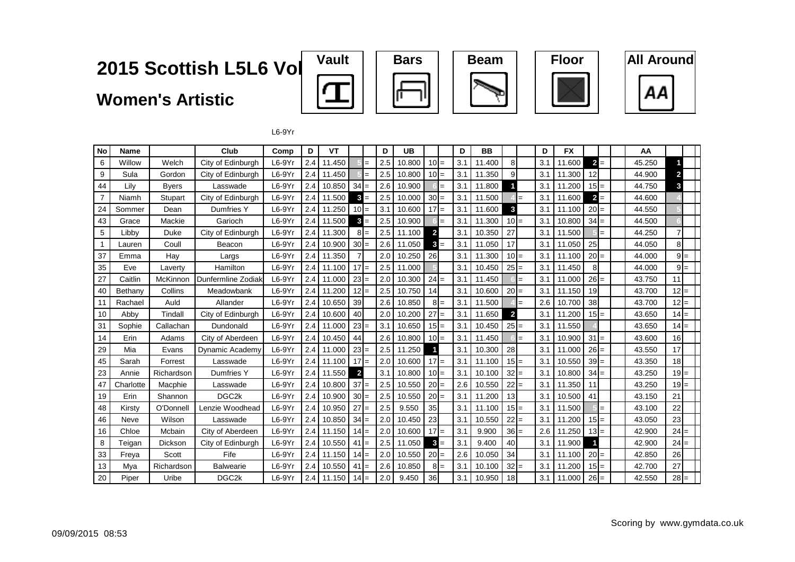#### 2015 Scottish L5L6 Vol

#### **Women's Artistic**











 $L6-9Yr$ 

| No             | <b>Name</b> |                | Club               | Comp     | D   | VT     |                |        | D   | UB     |                 |                   | D   | <b>BB</b> |                         |     | D   | <b>FX</b> |        |     | AA     |                |  |
|----------------|-------------|----------------|--------------------|----------|-----|--------|----------------|--------|-----|--------|-----------------|-------------------|-----|-----------|-------------------------|-----|-----|-----------|--------|-----|--------|----------------|--|
| 6              | Willow      | Welch          | City of Edinburgh  | $L6-9Yr$ | 2.4 | 11.450 |                |        | 2.5 | 10.800 | $10 =$          |                   | 3.1 | 11.400    | 8                       |     | 3.1 | 11.600    | $2 =$  |     | 45.250 |                |  |
| 9              | Sula        | Gordon         | City of Edinburgh  | $L6-9Yr$ | 2.4 | 11.450 |                |        | 2.5 | 10.800 | $10 =$          |                   | 3.1 | 11.350    | 9                       |     | 3.1 | 11.300    | 12     |     | 44.900 | $\overline{2}$ |  |
| 44             | Lilv        | <b>Byers</b>   | Lasswade           | $L6-9Yr$ | 2.4 | 10.850 | $34 =$         |        | 2.6 | 10.900 |                 | $=$               | 3.1 | 11.800    |                         |     | 3.1 | 11.200    | $15 =$ |     | 44.750 | 3              |  |
| $\overline{7}$ | Niamh       | <b>Stupart</b> | City of Edinburgh  | $L6-9Yr$ | 2.4 | 11.500 | $3 =$          |        | 2.5 | 10.000 | 30              | $=$               | 3.1 | 11.500    |                         | $=$ | 3.1 | 11.600    | $2 =$  |     | 44.600 |                |  |
| 24             | Sommer      | Dean           | Dumfries Y         | $L6-9Yr$ | 2.4 | 11.250 | $10 =$         |        | 3.1 | 10.600 | 17              | $=$               | 3.1 | 11.600    | 3                       |     | 3.1 | 11.100    | $20 =$ |     | 44.550 |                |  |
| 43             | Grace       | Mackie         | Garioch            | $L6-9Yr$ | 2.4 | 11.500 |                | $3 =$  | 2.5 | 10.900 |                 | $=$               | 3.1 | 11.300    | 10 <sup>1</sup>         | $=$ | 3.1 | 10.800    | $34 =$ |     | 44.500 |                |  |
| 5              | Libby       | Duke           | City of Edinburgh  | $L6-9Yr$ | 2.4 | 11.300 |                | $8I =$ | 2.5 | 11.100 | $\overline{2}$  |                   | 3.1 | 10.350    | 27                      |     | 3.1 | 11.500    |        | $=$ | 44.250 | $\overline{7}$ |  |
| $\mathbf{1}$   | Lauren      | Coull          | Beacon             | $L6-9Yr$ | 2.4 | 10.900 | $30 =$         |        | 2.6 | 11.050 | $\mathbf{3}$    | $=$               | 3.1 | 11.050    | 17                      |     | 3.1 | 11.050    | 25     |     | 44.050 | 8              |  |
| 37             | Emma        | Hay            | Largs              | $L6-9Yr$ | 2.4 | 11.350 |                |        | 2.0 | 10.250 | 26              |                   | 3.1 | 11.300    | $10 =$                  |     | 3.1 | 11.100    | $20 =$ |     | 44.000 | $9 =$          |  |
| 35             | Eve         | Laverty        | Hamilton           | $L6-9Yr$ | 2.4 | 11.100 | $17 =$         |        | 2.5 | 11.000 |                 |                   | 3.1 | 10.450    | $25 =$                  |     | 3.1 | 11.450    | 8      |     | 44.000 | $9 =$          |  |
| 27             | Caitlin     | McKinnon       | Dunfermline Zodiak | $L6-9Yr$ | 2.4 | 11.000 | $23 =$         |        | 2.0 | 10.300 | $24 =$          |                   | 3.1 | 11.450    |                         | $=$ | 3.1 | 11.000    | $26 =$ |     | 43.750 | 11             |  |
| 40             | Bethany     | Collins        | Meadowbank         | $L6-9Yr$ | 2.4 | 11.200 | $12 =$         |        | 2.5 | 10.750 | 14              |                   | 3.1 | 10.600    | 20                      | $=$ | 3.1 | 11.150    | 19     |     | 43.700 | $12 =$         |  |
| 11             | Rachael     | Auld           | Allander           | $L6-9Yr$ | 2.4 | 10.650 | 39             |        | 2.6 | 10.850 | 8               | $=$               | 3.1 | 11.500    |                         | $=$ | 2.6 | 10.700    | 38     |     | 43.700 | $12 =$         |  |
| 10             | Abby        | Tindall        | City of Edinburgh  | $L6-9Yr$ | 2.4 | 10.600 | 40             |        | 2.0 | 10.200 | 27              | $=$               | 3.1 | 11.650    | $\overline{\mathbf{2}}$ |     | 3.1 | 11.200    | $15 =$ |     | 43.650 | $14 =$         |  |
| 31             | Sophie      | Callachan      | Dundonald          | $L6-9Yr$ | 2.4 | 11.000 | $23 =$         |        | 3.1 | 10.650 | $15 =$          |                   | 3.1 | 10.450    | 25                      | $=$ | 3.1 | 11.550    |        |     | 43.650 | $14 =$         |  |
| 14             | Erin        | Adams          | City of Aberdeen   | $L6-9Yr$ | 2.4 | 10.450 | 44             |        | 2.6 | 10.800 | $10 =$          |                   | 3.1 | 11.450    |                         | $=$ | 3.1 | 10.900    | $31 =$ |     | 43.600 | 16             |  |
| 29             | Mia         | Evans          | Dynamic Academy    | $L6-9Yr$ | 2.4 | 11.000 | $23 =$         |        | 2.5 | 11.250 |                 |                   | 3.1 | 10.300    | 28                      |     | 3.1 | 11.000    | $26 =$ |     | 43.550 | 17             |  |
| 45             | Sarah       | Forrest        | Lasswade           | $L6-9Yr$ | 2.4 | 11.100 | $17 =$         |        | 2.0 | 10.600 | $17 =$          |                   | 3.1 | 11.100    | $15 =$                  |     | 3.1 | 10.550    | $39 =$ |     | 43.350 | 18             |  |
| 23             | Annie       | Richardson     | Dumfries Y         | L6-9Yr   | 2.4 | 11.550 | $\overline{2}$ |        | 3.1 | 10.800 | 10 <sup>1</sup> | $=$               | 3.1 | 10.100    | 32                      | $=$ | 3.1 | 10.800    | $34 =$ |     | 43.250 | $19 =$         |  |
| 47             | Charlotte   | Macphie        | Lasswade           | $L6-9Yr$ | 2.4 | 10.800 | $37 =$         |        | 2.5 | 10.550 | 20              | $=$               | 2.6 | 10.550    | 22                      | $=$ | 3.1 | 11.350    | 11     |     | 43.250 | $19 =$         |  |
| 19             | Erin        | Shannon        | DGC <sub>2</sub> k | $L6-9Yr$ | 2.4 | 10.900 | $30 =$         |        | 2.5 | 10.550 | 20 <sup>1</sup> | $=$               | 3.1 | 11.200    | 13                      |     | 3.1 | 10.500    | 41     |     | 43.150 | 21             |  |
| 48             | Kirstv      | O'Donnell      | Lenzie Woodhead    | $L6-9Yr$ | 2.4 | 10.950 | $27 =$         |        | 2.5 | 9.550  | 35              |                   | 3.1 | 11.100    | 15                      | $=$ | 3.1 | 11.500    |        | $=$ | 43.100 | 22             |  |
| 46             | Neve        | Wilson         | Lasswade           | $L6-9Yr$ | 2.4 | 10.850 | $34 =$         |        | 2.0 | 10.450 | 23              |                   | 3.1 | 10.550    | 22                      | $=$ | 3.1 | 11.200    | $15 =$ |     | 43.050 | 23             |  |
| 16             | Chloe       | Mcbain         | City of Aberdeen   | $L6-9Yr$ | 2.4 | 11.150 | $14 =$         |        | 2.0 | 10.600 | $17 =$          |                   | 3.1 | 9.900     | $36 =$                  |     | 2.6 | 11.250    | $13 =$ |     | 42.900 | $24 =$         |  |
| 8              | Teigan      | Dickson        | City of Edinburgh  | $L6-9Yr$ | 2.4 | 10.550 | 41             |        | 2.5 | 11.050 | $\mathbf{3}$    | $=$               | 3.1 | 9.400     | 40                      |     | 3.1 | 11.900    | 1      |     | 42.900 | $24 =$         |  |
| 33             | Freya       | Scott          | Fife               | L6-9Yr   | 2.4 | 11.150 | $14 =$         |        | 2.0 | 10.550 | 20 <sup>1</sup> | $=$               | 2.6 | 10.050    | 34                      |     | 3.1 | 11.100    | $20 =$ |     | 42.850 | 26             |  |
| 13             | Mya         | Richardson     | <b>Balwearie</b>   | $L6-9Yr$ | 2.4 | 10.550 | 41             | $=$    | 2.6 | 10.850 | 8               | $\qquad \qquad =$ | 3.1 | 10.100    | 32                      | $=$ | 3.1 | 11.200    | $15 =$ |     | 42.700 | 27             |  |
| 20             | Piper       | Uribe          | DGC <sub>2k</sub>  | $L6-9Yr$ | 2.4 | 11.150 | $14 =$         |        | 2.0 | 9.450  | 36              |                   | 3.1 | 10.950    | 18                      |     | 3.1 | 11.000    | $26 =$ |     | 42.550 | $28 =$         |  |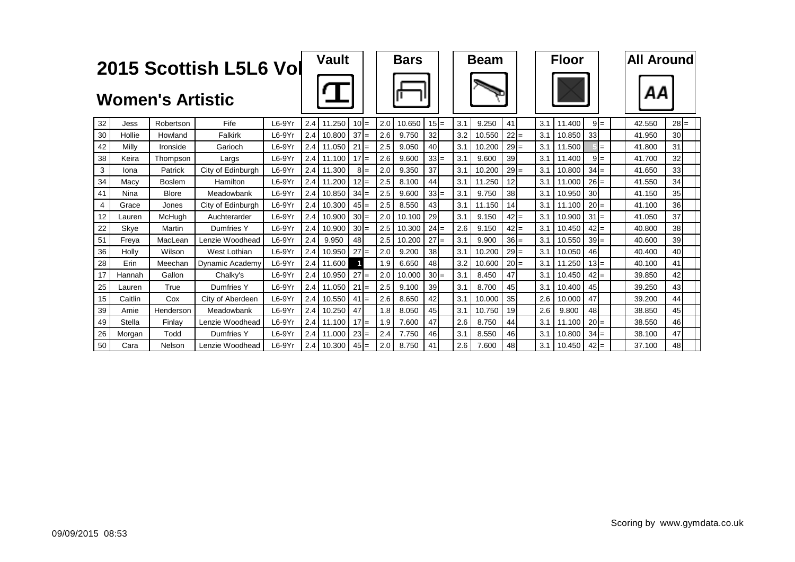|    |         |                         | 2015 Scottish L5L6 Vol |          |     | <b>Vault</b> |        |       |     | <b>Bars</b> |                 |     | <b>Beam</b> |          |     |     | <b>Floor</b> |        |       | <b>All Around</b> |                 |
|----|---------|-------------------------|------------------------|----------|-----|--------------|--------|-------|-----|-------------|-----------------|-----|-------------|----------|-----|-----|--------------|--------|-------|-------------------|-----------------|
|    |         | <b>Women's Artistic</b> |                        |          |     |              |        |       |     |             |                 |     |             |          |     |     |              |        |       |                   |                 |
| 32 | Jess    | Robertson               | Fife                   | L6-9Yr   | 2.4 | 11.250       | $10 =$ |       | 2.0 | 10.650      | $15 =$          | 3.1 | 9.250       | 41       |     | 3.1 | 11.400       |        | $9 =$ | 42.550            | $28 =$          |
| 30 | Hollie  | Howland                 | Falkirk                | $L6-9Yr$ | 2.4 | 10.800       | $37 =$ |       | 2.6 | 9.750       | 32              | 3.2 | 10.550      | 22       | $=$ | 3.1 | 10.850       | 33     |       | 41.950            | 30 <sup>1</sup> |
| 42 | Milly   | Ironside                | Garioch                | $L6-9Yr$ | 2.4 | 11.050       | $21 =$ |       | 2.5 | 9.050       | 40              | 3.1 | 10.200      | $29 =$   |     | 3.1 | 11.500       |        | $=$   | 41.800            | 31              |
| 38 | Keira   | Thompson                | Largs                  | $L6-9Yr$ | 2.4 | 11.100       | $17 =$ |       | 2.6 | 9.600       | $33 =$          | 3.1 | 9.600       | 39       |     | 3.1 | 11.400       |        | $9 =$ | 41.700            | 32              |
| 3  | lona    | Patrick                 | City of Edinburgh      | $L6-9Yr$ | 2.4 | 11.300       |        | $8 =$ | 2.0 | 9.350       | 37              | 3.1 | 10.200      | $29 =$   |     | 3.1 | 10.800       | $34 =$ |       | 41.650            | 33 <sup>1</sup> |
| 34 | Macy    | Boslem                  | Hamilton               | $L6-9Yr$ | 2.4 | 11.200       | $12 =$ |       | 2.5 | 8.100       | 44              | 3.1 | 11.250      | 12       |     | 3.1 | 11.000       | $26 =$ |       | 41.550            | 34              |
| 41 | Nina    | <b>Blore</b>            | Meadowbank             | $L6-9Yr$ | 2.4 | 10.850       | $34 =$ |       | 2.5 | 9.600       | $33 =$          | 3.1 | 9.750       | 38       |     | 3.1 | 10.950       | 30     |       | 41.150            | 35              |
| 4  | Grace   | Jones                   | City of Edinburgh      | $L6-9Yr$ | 2.4 | 10.300       | $45 =$ |       | 2.5 | 8.550       | 43              | 3.1 | 11.150      | 14       |     | 3.1 | 11.100       | $20 =$ |       | 41.100            | 36              |
| 12 | Lauren  | McHuah                  | Auchterarder           | $L6-9Yr$ | 2.4 | 10.900       | $30 =$ |       | 2.0 | 10.100      | 29              | 3.1 | 9.150       | 42       | $=$ | 3.1 | 10.900       | $31 =$ |       | 41.050            | 37              |
| 22 | Skye    | Martin                  | Dumfries Y             | L6-9Yr   | 2.4 | 10.900       | $30 =$ |       | 2.5 | 10.300      | $24 =$          | 2.6 | 9.150       | $ 42  =$ |     | 3.1 | 10.450       | $42 =$ |       | 40.800            | 38              |
| 51 | Freva   | MacLean                 | Lenzie Woodhead        | $L6-9Yr$ | 2.4 | 9.950        | 48     |       | 2.5 | 10.200      | $27 =$          | 3.1 | 9.900       | $36 =$   |     | 3.1 | 10.550       | $39 =$ |       | 40.600            | 39              |
| 36 | Holly   | Wilson                  | West Lothian           | $L6-9Yr$ | 2.4 | 10.950       | $27 =$ |       | 2.0 | 9.200       | 38 <sup>l</sup> | 3.1 | 10.200      | $29 =$   |     | 3.1 | 10.050       | 46     |       | 40.400            | 40              |
| 28 | Erin    | Meechan                 | Dynamic Academy        | $L6-9Yr$ | 2.4 | 11.600       | 1      |       | 1.9 | 6.650       | 48              | 3.2 | 10.600      | $20 =$   |     | 3.1 | 11.250       | $13 =$ |       | 40.100            | 41              |
| 17 | Hannah  | Gallon                  | Chalky's               | $L6-9Yr$ | 2.4 | 10.950       | $27 =$ |       | 2.0 | 10.000      | $30 =$          | 3.1 | 8.450       | 47       |     | 3.1 | 10.450       | $42 =$ |       | 39.850            | 42              |
| 25 | Lauren  | True                    | Dumfries Y             | L6-9Yr   | 2.4 | 11.050       | $21 =$ |       | 2.5 | 9.100       | 39              | 3.1 | 8.700       | 45       |     | 3.1 | 10.400       | 45     |       | 39.250            | 43              |
| 15 | Caitlin | Cox                     | City of Aberdeen       | $L6-9Yr$ | 2.4 | 10.550       | $41 =$ |       | 2.6 | 8.650       | 42              | 3.1 | 10.000      | 35       |     | 2.6 | 10.000       | 47     |       | 39.200            | 44              |
| 39 | Amie    | Henderson               | Meadowbank             | L6-9Yr   | 2.4 | 10.250       | 47     |       | 1.8 | 8.050       | 45              | 3.1 | 10.750      | 19       |     | 2.6 | 9.800        | 48     |       | 38.850            | 45              |
| 49 | Stella  | Finlav                  | Lenzie Woodhead        | L6-9Yr   | 2.4 | 11.100       | $17 =$ |       | 1.9 | 7.600       | 47              | 2.6 | 8.750       | 44       |     | 3.1 | 11.100       | $20 =$ |       | 38.550            | 46              |
| 26 | Morgan  | Todd                    | Dumfries Y             | L6-9Yr   | 2.4 | 11.000       | $23 =$ |       | 2.4 | 7.750       | 46              | 3.1 | 8.550       | 46       |     | 3.1 | 10.800       | $34 =$ |       | 38.100            | 47              |
| 50 | Cara    | Nelson                  | Lenzie Woodhead        | L6-9Yr   | 2.4 | 10.300       | $45 =$ |       | 2.0 | 8.750       | 41              | 2.6 | 7.600       | 48       |     | 3.1 | 10.450       | $42 =$ |       | 37.100            | 48              |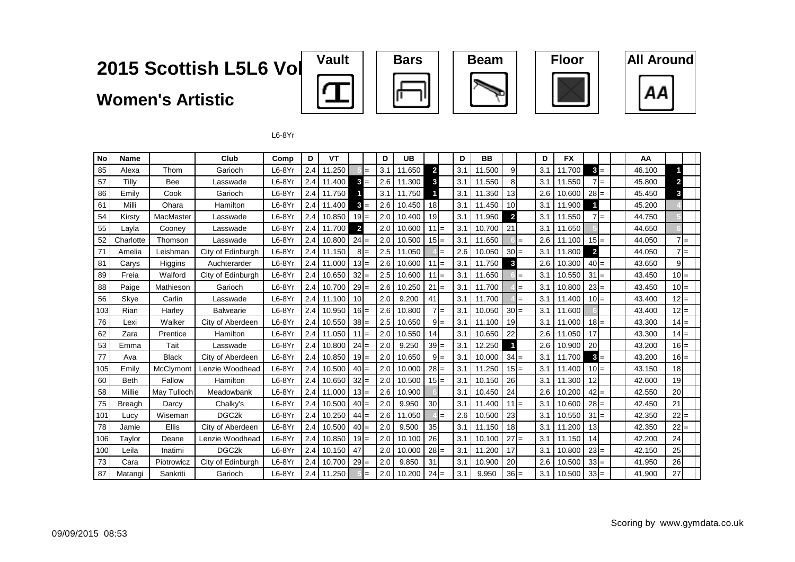#### 2015 Scottish L5L6 Vol

**Women's Artistic** 











 $L6-8Yr$ 

| <b>No</b> | <b>Name</b>   |              | Club               | Comp     | D   | VT     |                 |        | D   | UB     |                |       | D   | <b>BB</b> |                         |     | D   | <b>FX</b> |                |  | AA     |                |  |
|-----------|---------------|--------------|--------------------|----------|-----|--------|-----------------|--------|-----|--------|----------------|-------|-----|-----------|-------------------------|-----|-----|-----------|----------------|--|--------|----------------|--|
| 85        | Alexa         | Thom         | Garioch            | $L6-8Yr$ | 2.4 | 11.250 |                 |        | 3.1 | 11.650 | $\overline{2}$ |       | 3.1 | 11.500    | 9                       |     | 3.1 | 11.700    | $3 =$          |  | 46.100 |                |  |
| 57        | Tilly         | Bee          | Lasswade           | $L6-8Yr$ | 2.4 | 11.400 | $3 =$           |        | 2.6 | 11.300 | 3              |       | 3.1 | 11.550    | 8                       |     | 3.1 | 11.550    | $7 =$          |  | 45.800 | 2              |  |
| 86        | Emilv         | Cook         | Garioch            | $L6-8Yr$ | 2.4 | 11.750 |                 |        | 3.1 | 11.750 |                |       | 3.1 | 11.350    | 13                      |     | 2.6 | 10.600    | $28 =$         |  | 45.450 | 3              |  |
| 61        | Milli         | Ohara        | Hamilton           | $L6-8Yr$ | 2.4 | 11.400 | $3 =$           |        | 2.6 | 10.450 | 18             |       | 3.1 | 11.450    | 10                      |     | 3.1 | 11.900    |                |  | 45.200 |                |  |
| 54        | Kirsty        | MacMaster    | Lasswade           | $L6-8Yr$ | 2.4 | 10.850 | $19 =$          |        | 2.0 | 10.400 | 19             |       | 3.1 | 11.950    | $\overline{\mathbf{2}}$ |     | 3.1 | 11.550    | $7 =$          |  | 44.750 |                |  |
| 55        | Lavla         | Cooney       | Lasswade           | $L6-8Yr$ | 2.4 | 11.700 | $\overline{2}$  |        | 2.0 | 10.600 | $11 =$         |       | 3.1 | 10.700    | 21                      |     | 3.1 | 11.650    |                |  | 44.650 |                |  |
| 52        | Charlotte     | Thomson      | Lasswade           | $L6-8Yr$ | 2.4 | 10.800 | $24 =$          |        | 2.0 | 10.500 | $15 =$         |       | 3.1 | 11.650    |                         | $=$ | 2.6 | 11.100    | $15 =$         |  | 44.050 | $7 =$          |  |
| 71        | Amelia        | Leishman     | City of Edinburgh  | $L6-8Yr$ | 2.4 | 11.150 |                 | $8I =$ | 2.5 | 11.050 |                |       | 2.6 | 10.050    | $30 =$                  |     | 3.1 | 11.800    | $\overline{2}$ |  | 44.050 | $7 =$          |  |
| 81        | Carys         | Higgins      | Auchterarder       | $L6-8Yr$ | 2.4 | 11.000 | $13 =$          |        | 2.6 | 10.600 | $11 =$         |       | 3.1 | 11.750    | 3                       |     | 2.6 | 10.300    | $40 =$         |  | 43.650 | $\overline{9}$ |  |
| 89        | Freia         | Walford      | City of Edinburgh  | $L6-8Yr$ | 2.4 | 10.650 | $32 =$          |        | 2.5 | 10.600 | $11 =$         |       | 3.1 | 11.650    |                         | $=$ | 3.1 | 10.550    | $31 =$         |  | 43.450 | $10 =$         |  |
| 88        | Paige         | Mathieson    | Garioch            | $L6-8Yr$ | 2.4 | 10.700 | $29 =$          |        | 2.6 | 10.250 | 21             | $=$   | 3.1 | 11.700    |                         | $=$ | 3.1 | 10.800    | $23 =$         |  | 43.450 | $10 =$         |  |
| 56        | Skye          | Carlin       | Lasswade           | $L6-8Yr$ | 2.4 | 11.100 | 10 <sup>1</sup> |        | 2.0 | 9.200  | 41             |       | 3.1 | 11.700    |                         | $=$ | 3.1 | 11.400    | $10 =$         |  | 43.400 | $12 =$         |  |
| 103       | Rian          | Harley       | <b>Balwearie</b>   | $L6-8Yr$ | 2.4 | 10.950 | $16 =$          |        | 2.6 | 10.800 |                | $7 =$ | 3.1 | 10.050    | $30 =$                  |     | 3.1 | 11.600    |                |  | 43.400 | $12 =$         |  |
| 76        | Lexi          | Walker       | City of Aberdeen   | $L6-8Yr$ | 2.4 | 10.550 | $38 =$          |        | 2.5 | 10.650 |                | $9 =$ | 3.1 | 11.100    | 19                      |     | 3.1 | 11.000    | $18 =$         |  | 43.300 | $14 =$         |  |
| 62        | Zara          | Prentice     | Hamilton           | $L6-8Yr$ | 2.4 | 11.050 | $11 =$          |        | 2.0 | 10.550 | 14             |       | 3.1 | 10.650    | 22                      |     | 2.6 | 11.050    | 17             |  | 43.300 | $14 =$         |  |
| 53        | Emma          | Tait         | Lasswade           | $L6-8Yr$ | 2.4 | 10.800 | $24 =$          |        | 2.0 | 9.250  | 39             | $=$   | 3.1 | 12.250    |                         |     | 2.6 | 10.900    | 20             |  | 43.200 | $16 =$         |  |
| 77        | Ava           | <b>Black</b> | City of Aberdeen   | $L6-8Yr$ | 2.4 | 10.850 | $19 =$          |        | 2.0 | 10.650 |                | $9 =$ | 3.1 | 10.000    | 34                      | $=$ | 3.1 | 11.700    | $3 =$          |  | 43.200 | $16 =$         |  |
| 105       | Emily         | McClymont    | Lenzie Woodhead    | $L6-8Yr$ | 2.4 | 10.500 | $40 =$          |        | 2.0 | 10.000 | $28 =$         |       | 3.1 | 11.250    | $15 =$                  |     | 3.1 | 11.400    | $10 =$         |  | 43.150 | 18             |  |
| 60        | <b>Beth</b>   | Fallow       | Hamilton           | $L6-8Yr$ | 2.4 | 10.650 | $32 =$          |        | 2.0 | 10.500 | $15 =$         |       | 3.1 | 10.150    | 26                      |     | 3.1 | 11.300    | 12             |  | 42.600 | 19             |  |
| 58        | Millie        | May Tulloch  | Meadowbank         | $L6-8Yr$ | 2.4 | 11.000 | $13 =$          |        | 2.6 | 10.900 |                |       | 3.1 | 10.450    | 24                      |     | 2.6 | 10.200    | $42 =$         |  | 42.550 | 20             |  |
| 75        | <b>Breagh</b> | Darcy        | Chalky's           | $L6-8Yr$ | 2.4 | 10.500 | $40 =$          |        | 2.0 | 9.950  | 30             |       | 3.1 | 11.400    | $11 =$                  |     | 3.1 | 10.600    | $28 =$         |  | 42.450 | 21             |  |
| 101       | Lucy          | Wiseman      | DGC <sub>2</sub> k | $L6-8Yr$ | 2.4 | 10.250 | $44 =$          |        | 2.6 | 11.050 |                | $=$   | 2.6 | 10.500    | 23                      |     | 3.1 | 10.550    | $31 =$         |  | 42.350 | $22 =$         |  |
| 78        | Jamie         | Ellis        | City of Aberdeen   | $L6-8Yr$ | 2.4 | 10.500 | $40 =$          |        | 2.0 | 9.500  | 35             |       | 3.1 | 11.150    | 18                      |     | 3.1 | 11.200    | 13             |  | 42.350 | 22<br>$=$      |  |
| 106       | Taylor        | Deane        | Lenzie Woodhead    | $L6-8Yr$ | 2.4 | 10.850 | $19 =$          |        | 2.0 | 10.100 | 26             |       | 3.1 | 10.100    | $27 =$                  |     | 3.1 | 11.150    | 14             |  | 42.200 | 24             |  |
| 100       | Leila         | Inatimi      | DGC <sub>2k</sub>  | $L6-8Yr$ | 2.4 | 10.150 | 47              |        | 2.0 | 10.000 | 28             | $=$   | 3.1 | 11.200    | 17                      |     | 3.1 | 10.800    | $23 =$         |  | 42.150 | 25             |  |
| 73        | Cara          | Piotrowicz   | City of Edinburgh  | $L6-8Yr$ | 2.4 | 10.700 | $29 =$          |        | 2.0 | 9.850  | 31             |       | 3.1 | 10.900    | 20                      |     | 2.6 | 10.500    | $33 =$         |  | 41.950 | 26             |  |
| 87        | Matangi       | Sankriti     | Garioch            | $L6-8Yr$ | 2.4 | 11.250 |                 |        | 2.0 | 10.200 | $24 =$         |       | 3.1 | 9.950     | $36 =$                  |     | 3.1 | 10.500    | $33 =$         |  | 41.900 | 27             |  |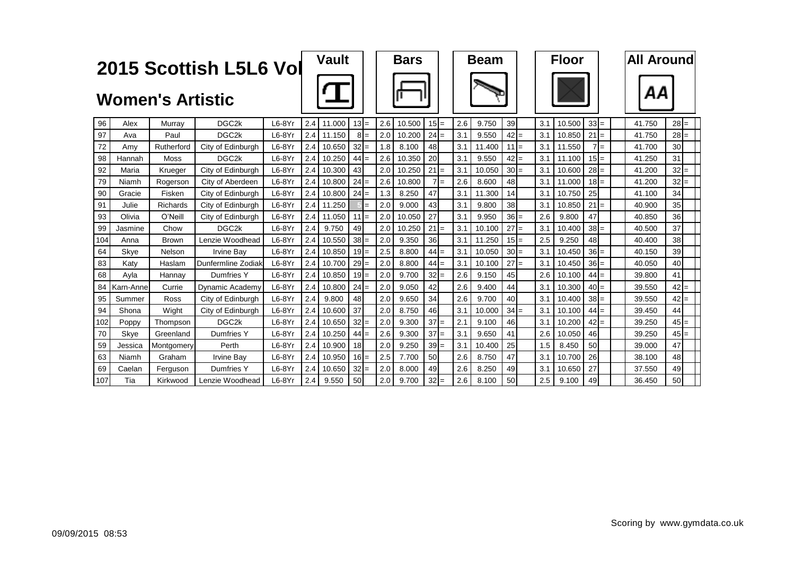|     |           |                         | 2015 Scottish L5L6 Vol |          |     | Vault  |        |       |     | <b>Bars</b> |        |     | <b>Beam</b> |        |     | <b>Floor</b> |          |     | <b>All Around</b> |                 |
|-----|-----------|-------------------------|------------------------|----------|-----|--------|--------|-------|-----|-------------|--------|-----|-------------|--------|-----|--------------|----------|-----|-------------------|-----------------|
|     |           | <b>Women's Artistic</b> |                        |          |     |        |        |       |     |             |        |     |             |        |     |              |          |     | AΑ                |                 |
| 96  | Alex      | Murray                  | DGC2k                  | $L6-8Yr$ | 2.4 | 11.000 | $13 =$ |       | 2.6 | 10.500      | $15 =$ | 2.6 | 9.750       | 39     | 3.1 | 10.500       | $33 =$   |     | 41.750            | $28 =$          |
| 97  | Ava       | Paul                    | DGC <sub>2k</sub>      | $L6-8Yr$ | 2.4 | 11.150 |        | $8 =$ | 2.0 | 10.200      | $24 =$ | 3.1 | 9.550       | $42 =$ | 3.1 | 10.850       | $21 =$   |     | 41.750            | $28 =$          |
| 72  | Amv       | Rutherford              | City of Edinburgh      | $L6-8Yr$ | 2.4 | 10.650 | $32 =$ |       | 1.8 | 8.100       | 48     | 3.1 | 11.400      | $11 =$ | 3.1 | 11.550       |          | $=$ | 41.700            | 30 <sup>1</sup> |
| 98  | Hannah    | Moss                    | DGC <sub>2k</sub>      | $L6-8Yr$ | 2.4 | 10.250 | $44 =$ |       | 2.6 | 10.350      | 20     | 3.1 | 9.550       | $42 =$ | 3.1 | 11.100       | $15 =$   |     | 41.250            | 31              |
| 92  | Maria     | Krueger                 | City of Edinburgh      | $L6-8Yr$ | 2.4 | 10.300 | 43     |       | 2.0 | 10.250      | $21 =$ | 3.1 | 10.050      | $30 =$ | 3.1 | 10.600       | $28 =$   |     | 41.200            | $32 =$          |
| 79  | Niamh     | Rogerson                | City of Aberdeen       | $L6-8Yr$ | 2.4 | 10.800 | $24 =$ |       | 2.6 | 10.800      | $7 =$  | 2.6 | 8.600       | 48     | 3.1 | 11.000       | $18 =$   |     | 41.200            | $32 =$          |
| 90  | Gracie    | Fisken                  | City of Edinburgh      | $L6-8Yr$ | 2.4 | 10.800 | $24 =$ |       | 1.3 | 8.250       | 47     | 3.1 | 11.300      | 14     | 3.1 | 10.750       | 25       |     | 41.100            | 34              |
| 91  | Julie     | <b>Richards</b>         | City of Edinburgh      | $L6-8Yr$ | 2.4 | 11.250 |        | $=$   | 2.0 | 9.000       | 43     | 3.1 | 9.800       | 38     | 3.1 | 10.850       | $21 =$   |     | 40.900            | 35              |
| 93  | Olivia    | O'Neill                 | City of Edinburgh      | $L6-8Yr$ | 2.4 | 11.050 | $11 =$ |       | 2.0 | 10.050      | 27     | 3.1 | 9.950       | $36 =$ | 2.6 | 9.800        | 47       |     | 40.850            | 36              |
| 99  | Jasmine   | Chow                    | DGC <sub>2k</sub>      | $L6-8Yr$ | 2.4 | 9.750  | 49     |       | 2.0 | 10.250      | $21 =$ | 3.1 | 10.100      | $27 =$ | 3.1 | 10.400       | $38 =$   |     | 40.500            | 37              |
| 104 | Anna      | <b>Brown</b>            | Lenzie Woodhead        | $L6-8Yr$ | 2.4 | 10.550 | $38 =$ |       | 2.0 | 9.350       | 36     | 3.1 | 11.250      | $15 =$ | 2.5 | 9.250        | 48       |     | 40.400            | 38              |
| 64  | Skve      | Nelson                  | <b>Irvine Bay</b>      | $L6-8Yr$ | 2.4 | 10.850 | $19 =$ |       | 2.5 | 8.800       | $44 =$ | 3.1 | 10.050      | $30 =$ | 3.1 | 10.450       | $36 =$   |     | 40.150            | 39              |
| 83  | Katy      | Haslam                  | Dunfermline Zodiak     | $L6-8Yr$ | 2.4 | 10.700 | $29 =$ |       | 2.0 | 8.800       | $44 =$ | 3.1 | 10.100      | $27 =$ | 3.1 | 10.450       | $36 =$   |     | 40.050            | 40              |
| 68  | Ayla      | Hannav                  | Dumfries Y             | $L6-8Yr$ | 2.4 | 10.850 | $19 =$ |       | 2.0 | 9.700       | $32 =$ | 2.6 | 9.150       | 45     | 2.6 | 10.100       | $44 =$   |     | 39.800            | 41              |
| 84  | Karn-Anne | Currie                  | Dynamic Academy        | $L6-8Yr$ | 2.4 | 10.800 | $24 =$ |       | 2.0 | 9.050       | 42     | 2.6 | 9.400       | 44     | 3.1 | 10.300       | $40 =$   |     | 39.550            | $42 =$          |
| 95  | Summer    | <b>Ross</b>             | City of Edinburgh      | $L6-8Yr$ | 2.4 | 9.800  | 48     |       | 2.0 | 9.650       | 34     | 2.6 | 9.700       | 40     | 3.1 | 10.400       | $38 =$   |     | 39.550            | $42 =$          |
| 94  | Shona     | Wight                   | City of Edinburgh      | $L6-8Yr$ | 2.4 | 10.600 | 37     |       | 2.0 | 8.750       | 46     | 3.1 | 10.000      | $34 =$ | 3.1 | 10.100       | $44 =$   |     | 39.450            | 44              |
| 102 | Poppy     | Thompson                | DGC <sub>2k</sub>      | $L6-8Yr$ | 2.4 | 10.650 | $32 =$ |       | 2.0 | 9.300       | $37 =$ | 2.1 | 9.100       | 46     | 3.1 | 10.200       | $ 42  =$ |     | 39.250            | $45 =$          |
| 70  | Skye      | Greenland               | Dumfries Y             | $L6-8Yr$ | 2.4 | 10.250 | $44 =$ |       | 2.6 | 9.300       | $37 =$ | 3.1 | 9.650       | 41     | 2.6 | 10.050       | 46       |     | 39.250            | $45 =$          |
| 59  | Jessica   | Montgomery              | Perth                  | $L6-8Yr$ | 2.4 | 10.900 | 18     |       | 2.0 | 9.250       | $39 =$ | 3.1 | 10.400      | 25     | 1.5 | 8.450        | 50       |     | 39,000            | 47              |
| 63  | Niamh     | Graham                  | <b>Irvine Bay</b>      | $L6-8Yr$ | 2.4 | 10.950 | $16 =$ |       | 2.5 | 7.700       | 50     | 2.6 | 8.750       | 47     | 3.1 | 10.700       | 26       |     | 38.100            | 48              |
| 69  | Caelan    | Ferguson                | Dumfries Y             | $L6-8Yr$ | 2.4 | 10.650 | 32     | $=$   | 2.0 | 8.000       | 49     | 2.6 | 8.250       | 49     | 3.1 | 10.650       | 27       |     | 37.550            | 49              |
| 107 | Tia       | Kirkwood                | Lenzie Woodhead        | $L6-8Yr$ | 2.4 | 9.550  | 50     |       | 2.0 | 9.700       | $32 =$ | 2.6 | 8.100       | 50     | 2.5 | 9.100        | 49       |     | 36.450            | 50              |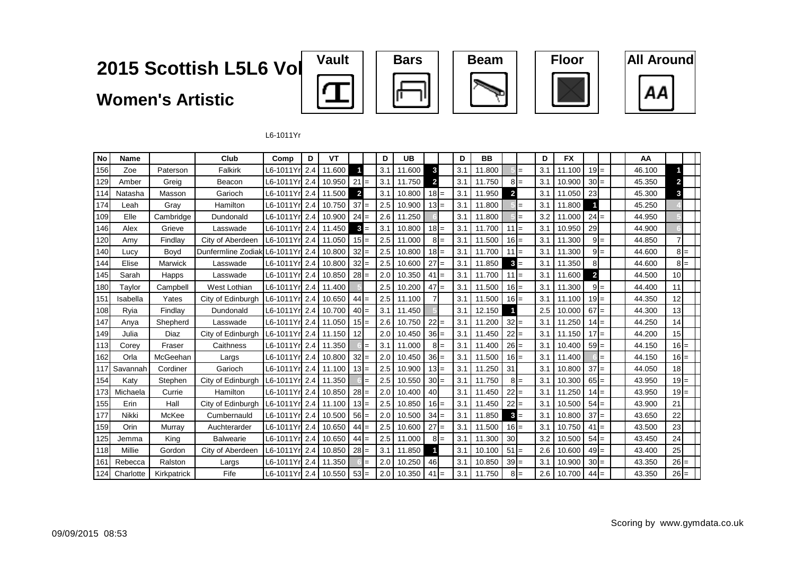**Women's Artistic**











L6-1011Yr

| <b>No</b> | <b>Name</b> |             | Club               | Comp                   | D | VT     |                | D   | <b>UB</b> |                |       | D   | <b>BB</b> |                         |       | D   | <b>FX</b> |                         |       | AA     |                |  |
|-----------|-------------|-------------|--------------------|------------------------|---|--------|----------------|-----|-----------|----------------|-------|-----|-----------|-------------------------|-------|-----|-----------|-------------------------|-------|--------|----------------|--|
| 156       | Zoe         | Paterson    | Falkirk            | L6-1011Yr <b>l</b> 2.4 |   | 11.600 |                | 3.1 | 11.600    | 3              |       | 3.1 | 11.800    |                         | $=$   | 3.1 | 11.100    | $19 =$                  |       | 46.100 |                |  |
| 129       | Amber       | Greig       | Beacon             | L6-1011Yr 2.4          |   | 10.950 | $21 =$         | 3.1 | 11.750    | $\overline{2}$ |       | 3.1 | 11.750    |                         | $8 =$ | 3.1 | 10.900    | $30 =$                  |       | 45.350 | $\overline{2}$ |  |
| 114       | Natasha     | Masson      | Garioch            | L6-1011Yr <b>l</b> 2.4 |   | 11.500 | $\overline{2}$ | 3.1 | 10.800    | $18 =$         |       | 3.1 | 11.950    | $\overline{\mathbf{c}}$ |       | 3.1 | 11.050    | 23                      |       | 45.300 | 3              |  |
| 174       | Leah        | Gray        | Hamilton           | L6-1011Yrl 2.4         |   | 10.750 | $37 =$         | 2.5 | 10.900    | $13 =$         |       | 3.1 | 11.800    |                         | $=$   | 3.1 | 11.800    |                         |       | 45.250 |                |  |
| 109       | Elle        | Cambridge   | Dundonald          | L6-1011Yr 2.4          |   | 10.900 | $24 =$         | 2.6 | 11.250    |                |       | 3.1 | 11.800    |                         | $=$   | 3.2 | 11.000    | $24 =$                  |       | 44.950 |                |  |
| 146       | Alex        | Grieve      | Lasswade           | L6-1011Yr  2.4         |   | 11.450 | $3 =$          | 3.1 | 10.800    | $18 =$         |       | 3.1 | 11.700    | $11 =$                  |       | 3.1 | 10.950    | 29                      |       | 44.900 |                |  |
| 120       | Amy         | Findlay     | City of Aberdeen   | L6-1011Yr  2.4         |   | 11.050 | $15 =$         | 2.5 | 11.000    |                | $8 =$ | 3.1 | 11.500    | $16 =$                  |       | 3.1 | 11.300    |                         | $9 =$ | 44.850 |                |  |
| 140       | Lucy        | Boyd        | Dunfermline Zodiak | L6-1011Yr 2.4          |   | 10.800 | $32 =$         | 2.5 | 10.800    | $18 =$         |       | 3.1 | 11.700    | $11 =$                  |       | 3.1 | 11.300    |                         | $9 =$ | 44.600 | $8 =$          |  |
| 144       | Elise       | Marwick     | Lasswade           | L6-1011Yr 2.4          |   | 10.800 | $32 =$         | 2.5 | 10.600    | $27 =$         |       | 3.1 | 11.850    | $\mathbf{3}$            | $=$   | 3.1 | 11.350    | 8                       |       | 44.600 | $8 =$          |  |
| 145       | Sarah       | Happs       | Lasswade           | L6-1011Yr 2.4          |   | 10.850 | $28 =$         | 2.0 | 10.350    | $41 =$         |       | 3.1 | 11.700    | $11 =$                  |       | 3.1 | 11.600    | $\overline{\mathbf{2}}$ |       | 44.500 | 10             |  |
| 180       | Taylor      | Campbell    | West Lothian       | L6-1011Yr 2.4          |   | 11.400 |                | 2.5 | 10.200    | $47 =$         |       | 3.1 | 11.500    | $16 =$                  |       | 3.1 | 11.300    |                         | $9 =$ | 44.400 | 11             |  |
| 151       | Isabella    | Yates       | City of Edinburgh  | L6-1011Yrl 2.4         |   | 10.650 | $44 =$         | 2.5 | 11.100    | $\overline{7}$ |       | 3.1 | 11.500    | $16 =$                  |       | 3.1 | 11.100    | $19 =$                  |       | 44.350 | 12             |  |
| 108       | Ryia        | Findlay     | Dundonald          | L6-1011Yr <b>l</b> 2.4 |   | 10.700 | $40 =$         | 3.1 | 11.450    |                |       | 3.1 | 12.150    |                         |       | 2.5 | 10.000    | 67                      | $=$   | 44.300 | 13             |  |
| 147       | Anya        | Shepherd    | Lasswade           | L6-1011Yr 2.4          |   | 11.050 | $15 =$         | 2.6 | 10.750    | 22             |       | 3.1 | 11.200    | $32 =$                  |       | 3.1 | 11.250    | $14 =$                  |       | 44.250 | 14             |  |
| 149       | Julia       | Diaz        | City of Edinburgh  | L6-1011Yr 2.4          |   | 11.150 | 12             | 2.0 | 10.450    | $36 =$         |       | 3.1 | 11.450    | $22 =$                  |       | 3.1 | 11.150    | $17 =$                  |       | 44.200 | 15             |  |
| 113       | Corey       | Fraser      | Caithness          | L6-1011Yr 2.4          |   | 11.350 |                | 3.1 | 11.000    |                | $8 =$ | 3.1 | 11.400    | $26 =$                  |       | 3.1 | 10.400    | $59 =$                  |       | 44.150 | $16 =$         |  |
| 162       | Orla        | McGeehan    | Largs              | L6-1011Yr 2.4          |   | 10.800 | $32 =$         | 2.0 | 10.450    | $36 =$         |       | 3.1 | 11.500    | $16 =$                  |       | 3.1 | 11.400    |                         | $=$   | 44.150 | $16 =$         |  |
| 117       | Savannah    | Cordiner    | Garioch            | L6-1011Yrl 2.4         |   | 11.100 | $13 =$         | 2.5 | 10.900    | $13 =$         |       | 3.1 | 11.250    | 31                      |       | 3.1 | 10.800    | $37 =$                  |       | 44.050 | 18             |  |
| 154       | Katv        | Stephen     | City of Edinburgh  | L6-1011Yrl 2.4         |   | 11.350 |                | 2.5 | 10.550    | $30 =$         |       | 3.1 | 11.750    |                         | $8 =$ | 3.1 | 10.300    | $65 =$                  |       | 43.950 | $19 =$         |  |
| 173       | Michaela    | Currie      | Hamilton           | L6-1011Yr 2.4          |   | 10.850 | $28 =$         | 2.0 | 10.400    | 40             |       | 3.1 | 11.450    | $22 =$                  |       | 3.1 | 11.250    | $14 =$                  |       | 43.950 | $19 =$         |  |
| 155       | Erin        | Hall        | City of Edinburgh  | L6-1011Yr 2.4          |   | 11.100 | $13 =$         | 2.5 | 10.850    | $16 =$         |       | 3.1 | 11.450    | $22 =$                  |       | 3.1 | 10.500    | $54 =$                  |       | 43.900 | 21             |  |
| 177       | Nikki       | McKee       | Cumbernauld        | L6-1011Yr 2.4          |   | 10.500 | $56 =$         | 2.0 | 10.500    | $34 =$         |       | 3.1 | 11.850    | 3                       | $=$   | 3.1 | 10.800    | 37                      | $=$   | 43.650 | 22             |  |
| 159       | Orin        | Murray      | Auchterarder       | L6-1011Yr 2.4          |   | 10.650 | $44 =$         | 2.5 | 10.600    | $27 =$         |       | 3.1 | 11.500    | $16 =$                  |       | 3.1 | 10.750    | $41 =$                  |       | 43.500 | 23             |  |
| 125       | Jemma       | King        | <b>Balwearie</b>   | L6-1011Yr 2.4          |   | 10.650 | $44 =$         | 2.5 | 11.000    |                | $8 =$ | 3.1 | 11.300    | 30                      |       | 3.2 | 10.500    | $54 =$                  |       | 43.450 | 24             |  |
| 118       | Millie      | Gordon      | City of Aberdeen   | L6-1011Yrl 2.4         |   | 10.850 | $28 =$         | 3.1 | 11.850    |                |       | 3.1 | 10.100    | $51 =$                  |       | 2.6 | 10.600    | 49                      | $=$   | 43.400 | 25             |  |
| 161       | Rebecca     | Ralston     | Largs              | L6-1011Yr <b>l</b> 2.4 |   | 11.350 |                | 2.0 | 10.250    | 46             |       | 3.1 | 10.850    | $39 =$                  |       | 3.1 | 10.900    | $30 =$                  |       | 43.350 | $26 =$         |  |
| 124       | Charlotte   | Kirkpatrick | Fife               | L6-1011Yr 2.4          |   | 10.550 | $53 =$         | 2.0 | 10.350    | $41 =$         |       | 3.1 | 11.750    |                         | $8 =$ | 2.6 | 10.700    | $44 =$                  |       | 43.350 | $26 =$         |  |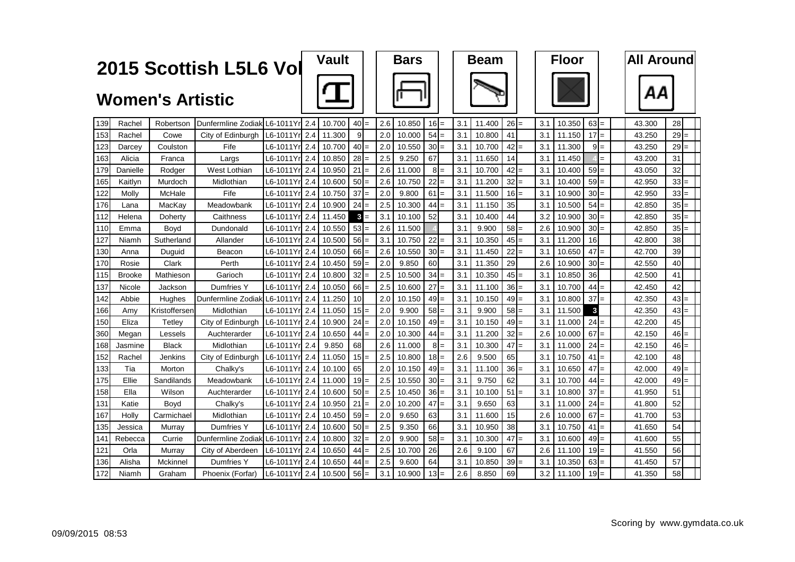|     |               |                         | 2015 Scottish L5L6 Vol            |                        |          | <b>Vault</b> |                 |       |     | <b>Bars</b> |        |       |     | <b>Beam</b> |           |                  | <b>Floor</b> |                                      | <b>All Around</b> |        |  |
|-----|---------------|-------------------------|-----------------------------------|------------------------|----------|--------------|-----------------|-------|-----|-------------|--------|-------|-----|-------------|-----------|------------------|--------------|--------------------------------------|-------------------|--------|--|
|     |               | <b>Women's Artistic</b> |                                   |                        |          |              |                 |       |     |             |        |       |     |             |           |                  |              |                                      | ΑА                |        |  |
| 139 | Rachel        | Robertson               | Dunfermline Zodiak L6-1011Yrl 2.4 |                        |          | 10.700       | $40 =$          |       | 2.6 | 10.850      | $16 =$ |       | 3.1 | 11.400      | $26 =$    | 3.1              | 10.350       | $63 =$                               | 43.300            | 28     |  |
| 153 | Rachel        | Cowe                    | City of Edinburgh                 | L6-1011Yrl 2.4         |          | 11.300       | 9               |       | 2.0 | 10.000      | 54     |       | 3.1 | 10.800      | 41        | 3.1              | 11.150       | $17 =$                               | 43.250            | $29 =$ |  |
| 123 | Darcey        | Coulston                | Fife                              | L6-1011Yrl 2.4         |          | 10.700       | 40              |       | 2.0 | 10.550      | $30 =$ |       | 3.1 | 10.700      | $42 =$    | 3.1              | 11.300       | $9 =$                                | 43.250            | $29 =$ |  |
| 163 | Alicia        | Franca                  | Largs                             | L6-1011Yrl 2.4         |          | 10.850       | 28              |       | 2.5 | 9.250       | 67     |       | 3.1 | 11.650      | 14        | 3.1              | 11.450       | $=$                                  | 43.200            | 31     |  |
| 179 | Danielle      | Rodger                  | West Lothian                      | L6-1011Yr              | 2.4      | 10.950       | 21              |       | 2.6 | 11.000      |        | $8 =$ | 3.1 | 10.700      | $42 =$    | 3.1              | 10.400       | $59 =$                               | 43.050            | 32     |  |
| 165 | Kaitlvn       | Murdoch                 | Midlothian                        | L6-1011Yr              | 2.4      | 10.600       | 50              |       | 2.6 | 10.750      | 22     |       | 3.1 | 11.200      | 32        | 3.1              | 10.400       | 59<br>$=$                            | 42.950            | $33 =$ |  |
| 122 | Molly         | McHale                  | Fife                              | L6-1011Yr              | 2.4      | 10.750       | 37              |       | 2.0 | 9.800       | $61 =$ |       | 3.1 | 11.500      | $16 =$    | 3.1              | 10.900       | 30 <sup>1</sup><br>$\qquad \qquad =$ | 42.950            | $33 =$ |  |
| 176 | Lana          | MacKav                  | Meadowbank                        | L6-1011Y               | 2.4      | 10.900       | 24              |       | 2.5 | 10.300      | 44     |       | 3.1 | 11.150      | 35        | 3.1              | 10.500       | 54<br>$=$                            | 42.850            | $35 =$ |  |
| 112 | Helena        | Doherty                 | Caithness                         | L6-1011Y               | 2.4      | 11.450       |                 | $3 =$ | 3.1 | 10.100      | 52     |       | 3.1 | 10.400      | 44        | 3.2              | 10.900       | $30 =$                               | 42.850            | $35 =$ |  |
| 110 | Emma          | Boyd                    | Dundonald                         | L6-1011Y               | r 2.4    | 10.550       | $53 =$          |       | 2.6 | 11.500      |        |       | 3.1 | 9.900       | $58 =$    | 2.6              | 10.900       | $30 =$                               | 42.850            | $35 =$ |  |
| 127 | Niamh         | Sutherland              | Allander                          | L6-1011Y               | $r1$ 2.4 | 10.500       | 56!             |       | 3.1 | 10.750      | $22 =$ |       | 3.1 | 10.350      | $45 =$    | 3.1              | 11.200       | 16                                   | 42.800            | 38     |  |
| 130 | Anna          | Duguid                  | Beacon                            | L6-1011Yrl             | 2.4      | 10.050       | 66              |       | 2.6 | 10.550      | $30 =$ |       | 3.1 | 11.450      | $22 =$    | 3.1              | 10.650       | $47 =$                               | 42.700            | 39     |  |
| 170 | Rosie         | Clark                   | Perth                             | L6-1011Yrl             | 2.4      | 10.450       | 59              |       | 2.0 | 9.850       | 60     |       | 3.1 | 11.350      | 29        | 2.6              | 10.900       | $30 =$                               | 42.550            | 40     |  |
| 115 | <b>Brooke</b> | Mathieson               | Garioch                           | L6-1011Yr 2.4          |          | 10.800       | $32 =$          |       | 2.5 | 10.500      | $34 =$ |       | 3.1 | 10.350      | $45 =$    | 3.1              | 10.850       | 36                                   | 42.500            | 41     |  |
| 137 | Nicole        | Jackson                 | Dumfries Y                        | L6-1011Yrl 2.4         |          | 10.050       | 66              |       | 2.5 | 10.600      | $27 =$ |       | 3.1 | 11.100      | $36 =$    | 3.1              | 10.700       | $44 =$                               | 42.450            | 42     |  |
| 142 | Abbie         | Hughes                  | Dunfermline Zodiak L6-1011Yr 2.4  |                        |          | 11.250       | 10              |       | 2.0 | 10.150      | $49 =$ |       | 3.1 | 10.150      | $49 =$    | 3.1              | 10.800       | $37 =$                               | 42.350            | $43 =$ |  |
| 166 | Amv           | Kristoffersen           | Midlothian                        | L6-1011Yrl 2.4 I       |          | 11.050       | $15 =$          |       | 2.0 | 9.900       | $58 =$ |       | 3.1 | 9.900       | $58 =$    | 3.1              | 11.500       | $\mathbf{3}$                         | 42.350            | $43 =$ |  |
| 150 | Eliza         | Tetley                  | City of Edinburgh                 | L6-1011Yr 2.4          |          | 10.900       | $24 =$          |       | 2.0 | 10.150      | $49 =$ |       | 3.1 | 10.150      | $49 =$    | 3.1              | 11.000       | $24 =$                               | 42.200            | 45     |  |
| 360 | Megan         | Lessels                 | Auchterarder                      | L6-1011Yr 2.4          |          | 10.650       | 44              | $=$   | 2.0 | 10.300      | $44 =$ |       | 3.1 | 11.200      | $32 =$    | 2.6              | 10.000       | $67 =$                               | 42.150            | $46 =$ |  |
| 168 | Jasmine       | <b>Black</b>            | Midlothian                        | L6-1011Yr 2.4          |          | 9.850        | 68              |       | 2.6 | 11.000      |        | $8 =$ | 3.1 | 10.300      | $47 =$    | 3.1              | 11.000       | $24 =$                               | 42.150            | $46 =$ |  |
| 152 | Rachel        | Jenkins                 | City of Edinburgh                 | L6-1011Yr 2.4          |          | 11.050       | 15              |       | 2.5 | 10.800      | $18 =$ |       | 2.6 | 9.500       | 65        | 3.1              | 10.750       | $41 =$                               | 42.100            | 48     |  |
| 133 | Tia           | Morton                  | Chalky's                          | L6-1011Yrl 2.4         |          | 10.100       | 65              |       | 2.0 | 10.150      | $49 =$ |       | 3.1 | 11.100      | $36 =$    | 3.1              | 10.650       | $47 =$                               | 42.000            | $49 =$ |  |
| 175 | Ellie         | Sandilands              | Meadowbank                        | L6-1011Yrl 2.4         |          | 11.000       | 19 <sup>l</sup> |       | 2.5 | 10.550      | $30 =$ |       | 3.1 | 9.750       | 62        | 3.1              | 10.700       | 44<br>$=$                            | 42.000            | $49 =$ |  |
| 158 | Ella          | Wilson                  | Auchterarder                      | L6-1011Yrl 2.4         |          | 10.600       | 50              |       | 2.5 | 10.450      | $36 =$ |       | 3.1 | 10.100      | 51<br>$=$ | 3.1              | 10.800       | $37 =$                               | 41.950            | 51     |  |
| 131 | Katie         | Boyd                    | Chalky's                          | L6-1011Yr <b>l</b> 2.4 |          | 10.950       | 21              |       | 2.0 | 10.200      | $47 =$ |       | 3.1 | 9.650       | 63        | 3.1              | 11.000       | 24<br>$=$                            | 41.800            | 52     |  |
| 167 | Holly         | Carmichael              | Midlothian                        | L6-1011Yr 2.4          |          | 10.450       | 59              | $=$   | 2.0 | 9.650       | 63     |       | 3.1 | 11.600      | 15        | 2.6              | 10.000       | 67<br>$=$                            | 41.700            | 53     |  |
| 135 | Jessica       | Murray                  | <b>Dumfries Y</b>                 | L6-1011Yrl 2.4         |          | 10.600       | 50              |       | 2.5 | 9.350       | 66     |       | 3.1 | 10.950      | 38        | 3.1              | 10.750       | 41<br>$=$                            | 41.650            | 54     |  |
| 141 | Rebecca       | Currie                  | Dunfermline Zodiak                | L6-1011Yr 2.4          |          | 10.800       | $32 =$          |       | 2.0 | 9.900       | $58 =$ |       | 3.1 | 10.300      | $47 =$    | 3.1              | 10.600       | $49 =$                               | 41.600            | 55     |  |
| 121 | Orla          | Murray                  | City of Aberdeen                  | L6-1011Yrl 2.4         |          | 10.650       | 44              |       | 2.5 | 10.700      | 26     |       | 2.6 | 9.100       | 67        | 2.6              | 11.100       | $19 =$                               | 41.550            | 56     |  |
| 136 | Alisha        | Mckinnel                | Dumfries Y                        | L6-1011Yrl 2.4         |          | 10.650       | 44              |       | 2.5 | 9.600       | 64     |       | 3.1 | 10.850      | $39 =$    | 3.1              | 10.350       | $63 =$                               | 41.450            | 57     |  |
| 172 | Niamh         | Graham                  | Phoenix (Forfar)                  | L6-1011Yr 2.4 10.500   |          |              | $56 =$          |       | 3.1 | 10.900      | $13 =$ |       | 2.6 | 8.850       | 69        | 3.2 <sub>1</sub> | 11.100       | $19 =$                               | 41.350            | 58     |  |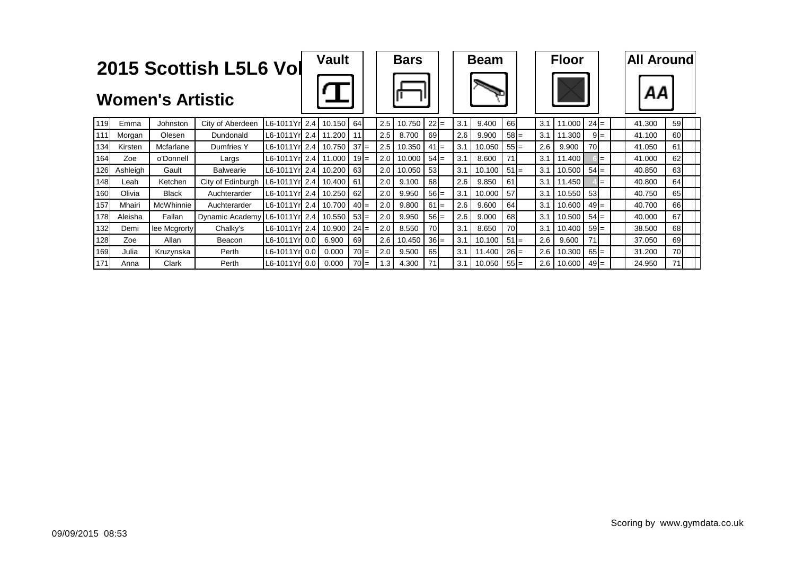|     |          | <b>Women's Artistic</b> | 2015 Scottish L5L6 Vol        |                      | <b>Vault</b> |        |     | <b>Bars</b> |        |     | <b>Beam</b> |        |     | <b>Floor</b> |        |       | <b>All Around</b><br>ΑА |           |  |
|-----|----------|-------------------------|-------------------------------|----------------------|--------------|--------|-----|-------------|--------|-----|-------------|--------|-----|--------------|--------|-------|-------------------------|-----------|--|
| 119 | Emma     | Johnston                | City of Aberdeen              | L6-1011Yr 2.4        | 10.150       | 64     | 2.5 | 10.750      | $22 =$ | 3.1 | 9.400       | 66     | 3.1 | 11.000       | $24 =$ |       | 41.300                  | 59        |  |
| 111 | Morgan   | Olesen                  | Dundonald                     | L6-1011Yrl 2.4       | 11.200       | 11     | 2.5 | 8.700       | 69     | 2.6 | 9.900       | $58 =$ | 3.1 | 11.300       |        | $9 =$ | 41.100                  | 60        |  |
| 134 | Kirsten  | Mcfarlane               | <b>Dumfries Y</b>             | L6-1011Yrl 2.4       | 10.750       | $37 =$ | 2.5 | 10.350      | $41 =$ | 3.1 | 10.050      | $55 =$ | 2.6 | 9.900        | 70     |       | 41.050                  | 61        |  |
| 164 | Zoe      | o'Donnell               | Largs                         | L6-1011Yrl 2.4       | 11.000       | $19 =$ | 2.0 | 10.000      | $54 =$ | 3.1 | 8.600       |        | 3.1 | 11.400       |        | $=$   | 41.000                  | 62        |  |
| 126 | Ashleigh | Gault                   | <b>Balwearie</b>              | L6-1011Yr 2.4        | 10.200       | 63     | 2.0 | 10.050      | 53     | 3.1 | 10.100      | $51 =$ | 3.1 | 10.500       | $54 =$ |       | 40.850                  | 63        |  |
| 148 | Leah     | Ketchen                 | City of Edinburgh             | L6-1011Yr 2.4        | 10.400       | 61     | 2.0 | 9.100       | 68     | 2.6 | 9.850       | 61     | 3.1 | 11.450       |        | $=$   | 40.800                  | 64        |  |
| 160 | Olivia   | <b>Black</b>            | Auchterarder                  | L6-1011Yr 2.4 10.250 |              | 62     | 2.0 | 9.950       | $56 =$ | 3.1 | 10.000      | 57     | 3.1 | 10.550       | 53     |       | 40.750                  | 65        |  |
| 157 | Mhairi   | McWhinnie               | Auchterarder                  | L6-1011Yr 2.4        | 10.700       | $40 =$ | 2.0 | 9.800       | $61 =$ | 2.6 | 9.600       | 64     | 3.1 | 10.600       | $49 =$ |       | 40.700                  | 66        |  |
| 178 | Aleisha  | Fallan                  | Dynamic Academy L6-1011Yr 2.4 |                      | 10.550       | $53 =$ | 2.0 | 9.950       | $56 =$ | 2.6 | 9.000       | 68     | 3.1 | 10.500       | $54 =$ |       | 40,000                  | 67        |  |
| 132 | Demi     | lee Mcgrorty            | Chalky's                      | L6-1011Yrl 2.4       | 10.900       | $24 =$ | 2.0 | 8.550       | 70     | 3.1 | 8.650       | 70     | 3.1 | 10.400       | $59 =$ |       | 38,500                  | 68        |  |
| 128 | Zoe      | Allan                   | Beacon                        | L6-1011Yrl 0.0       | 6.900        | 69     | 2.6 | 10.450      | $36 =$ | 3.1 | 10.100      | $51 =$ | 2.6 | 9.600        | 71     |       | 37.050                  | 69        |  |
| 169 | Julia    | Kruzynska               | Perth                         | L6-1011Yr 0.0        | 0.000        | $70 =$ | 2.0 | 9.500       | 65     | 3.1 | 11.400      | $26 =$ | 2.6 | 10.300       | $65 =$ |       | 31.200                  | <b>70</b> |  |
| 171 | Anna     | Clark                   | Perth                         | L6-1011Yrl 0.0       | 0.000        | $70 =$ | 1.3 | 4.300       | 71     | 3.1 | 10.050      | $55 =$ | 2.6 | 10.600       | $49 =$ |       | 24.950                  | 71        |  |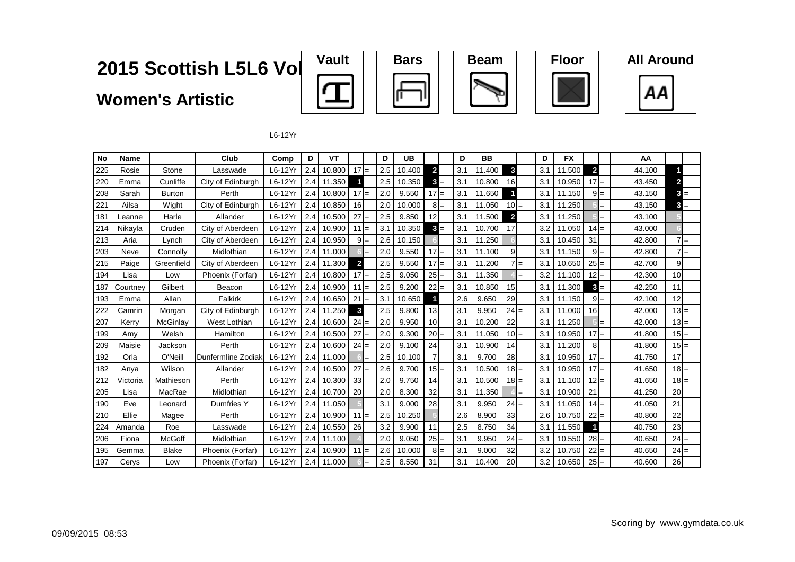**Women's Artistic**











L6-12Yr

| No  | <b>Name</b> |               | Club               | Comp    | D   | VT     |                         |       | D   | UB     |                |       | D   | BB     |                |       | D   | <b>FX</b> |                         |       | AA     |                 |
|-----|-------------|---------------|--------------------|---------|-----|--------|-------------------------|-------|-----|--------|----------------|-------|-----|--------|----------------|-------|-----|-----------|-------------------------|-------|--------|-----------------|
| 225 | Rosie       | Stone         | Lasswade           | L6-12Yr | 2.4 | 10.800 | $17 =$                  |       | 2.5 | 10.400 | $\overline{2}$ |       | 3.1 | 11.400 | 3              |       | 3.1 | 11.500    | $\overline{\mathbf{c}}$ |       | 44.100 |                 |
| 220 | Emma        | Cunliffe      | City of Edinburgh  | L6-12Yr | 2.4 | 11.350 |                         |       | 2.5 | 10.350 | 3              | $=$   | 3.1 | 10.800 | 16             |       | 3.1 | 10.950    | $17 =$                  |       | 43.450 | $\mathbf{2}$    |
| 208 | Sarah       | <b>Burton</b> | Perth              | L6-12Yr | 2.4 | 10.800 | $17 =$                  |       | 2.0 | 9.550  | $17 =$         |       | 3.1 | 11.650 |                |       | 3.1 | 11.150    |                         | $9 =$ | 43.150 | $3 =$           |
| 221 | Ailsa       | Wight         | City of Edinburgh  | L6-12Yr | 2.4 | 10.850 | 16                      |       | 2.0 | 10.000 |                | $8 =$ | 3.1 | 11.050 | $10 =$         |       | 3.1 | 11.250    |                         | $=$   | 43.150 | $3 =$           |
| 181 | Leanne      | Harle         | Allander           | L6-12Yr | 2.4 | 10.500 | $27 =$                  |       | 2.5 | 9.850  | 12             |       | 3.1 | 11.500 | $\overline{2}$ |       | 3.1 | 11.250    |                         | $=$   | 43.100 |                 |
| 214 | Nikayla     | Cruden        | City of Aberdeen   | L6-12Yr | 2.4 | 10.900 | $11 =$                  |       | 3.1 | 10.350 |                | $3 =$ | 3.1 | 10.700 | 17             |       | 3.2 | 11.050    | $14 =$                  |       | 43.000 |                 |
| 213 | Aria        | Lynch         | City of Aberdeen   | L6-12Yr | 2.4 | 10.950 |                         | $9 =$ | 2.6 | 10.150 |                |       | 3.1 | 11.250 |                |       | 3.1 | 10.450    | 31                      |       | 42.800 | $7 =$           |
| 203 | Neve        | Connolly      | Midlothian         | L6-12Yr | 2.4 | 11.000 |                         | $=$   | 2.0 | 9.550  | $17 =$         |       | 3.1 | 11.100 | 9              |       | 3.1 | 11.150    |                         | $9 =$ | 42.800 | $7 =$           |
| 215 | Paige       | Greenfield    | City of Aberdeen   | L6-12Yr | 2.4 | 11.300 | $\overline{\mathbf{2}}$ |       | 2.5 | 9.550  | $17 =$         |       | 3.1 | 11.200 |                | $7 =$ | 3.1 | 10.650    | $25 =$                  |       | 42.700 | 91              |
| 194 | Lisa        | Low           | Phoenix (Forfar)   | L6-12Yr | 2.4 | 10.800 | $17 =$                  |       | 2.5 | 9.050  | $25 =$         |       | 3.1 | 11.350 |                | $=$   | 3.2 | 11.100    | $12 =$                  |       | 42.300 | 10 <sup>1</sup> |
| 187 | Courtney    | Gilbert       | Beacon             | L6-12Yr | 2.4 | 10.900 | $11 =$                  |       | 2.5 | 9.200  | $22 =$         |       | 3.1 | 10.850 | 15             |       | 3.1 | 11.300    | $\mathbf{3}$            | $=$   | 42.250 | 11              |
| 193 | Emma        | Allan         | Falkirk            | L6-12Yr | 2.4 | 10.650 | $21 =$                  |       | 3.1 | 10.650 |                |       | 2.6 | 9.650  | 29             |       | 3.1 | 11.150    |                         | $9 =$ | 42.100 | 12              |
| 222 | Camrin      | Morgan        | City of Edinburgh  | L6-12Yr | 2.4 | 11.250 | 3                       |       | 2.5 | 9.800  | 13             |       | 3.1 | 9.950  | $24 =$         |       | 3.1 | 11.000    | 16                      |       | 42.000 | $13 =$          |
| 207 | Kerry       | McGinlay      | West Lothian       | L6-12Yr | 2.4 | 10.600 | $24 =$                  |       | 2.0 | 9.950  | 10             |       | 3.1 | 10.200 | 22             |       | 3.1 | 11.250    |                         | $=$   | 42.000 | $13I =$         |
| 199 | Amy         | Welsh         | Hamilton           | L6-12Yr | 2.4 | 10.500 | $27 =$                  |       | 2.0 | 9.300  | $20 =$         |       | 3.1 | 11.050 | $10 =$         |       | 3.1 | 10.950    | $17 =$                  |       | 41.800 | $15 =$          |
| 209 | Maisie      | Jackson       | Perth              | L6-12Yr | 2.4 | 10.600 | $24 =$                  |       | 2.0 | 9.100  | 24             |       | 3.1 | 10.900 | 14             |       | 3.1 | 11.200    | 8                       |       | 41.800 | $15 =$          |
| 192 | Orla        | O'Neill       | Dunfermline Zodiak | L6-12Yr | 2.4 | 11.000 |                         | $=$   | 2.5 | 10.100 |                |       | 3.1 | 9.700  | 28             |       | 3.1 | 10.950    | $17 =$                  |       | 41.750 | 17              |
| 182 | Anya        | Wilson        | Allander           | L6-12Yr | 2.4 | 10.500 | $27 =$                  |       | 2.6 | 9.700  | $15 =$         |       | 3.1 | 10.500 | $18 =$         |       | 3.1 | 10.950    | $17 =$                  |       | 41.650 | $18 =$          |
| 212 | Victoria    | Mathieson     | Perth              | L6-12Yr | 2.4 | 10.300 | 33                      |       | 2.0 | 9.750  | 14             |       | 3.1 | 10.500 | $18 =$         |       | 3.1 | 11.100    | $12 =$                  |       | 41.650 | $18 =$          |
| 205 | Lisa        | MacRae        | Midlothian         | L6-12Yr | 2.4 | 10.700 | 20                      |       | 2.0 | 8.300  | 32             |       | 3.1 | 11.350 |                | $=$   | 3.1 | 10.900    | 21                      |       | 41.250 | 20              |
| 190 | Eve         | Leonard       | Dumfries Y         | L6-12Yr | 2.4 | 11.050 |                         |       | 3.1 | 9.000  | 28             |       | 3.1 | 9.950  | $24 =$         |       | 3.1 | 11.050    | $14 =$                  |       | 41.050 | 21              |
| 210 | Ellie       | Magee         | Perth              | L6-12Yr | 2.4 | 10.900 | $11 =$                  |       | 2.5 | 10.250 |                |       | 2.6 | 8.900  | 33             |       | 2.6 | 10.750    | $22 =$                  |       | 40.800 | 22              |
| 224 | Amanda      | Roe           | Lasswade           | L6-12Yr | 2.4 | 10.550 | 26                      |       | 3.2 | 9.900  | 11             |       | 2.5 | 8.750  | 34             |       | 3.1 | 11.550    |                         |       | 40.750 | 23              |
| 206 | Fiona       | <b>McGoff</b> | Midlothian         | L6-12Yr | 2.4 | 11.100 |                         |       | 2.0 | 9.050  | $25 =$         |       | 3.1 | 9.950  | $24 =$         |       | 3.1 | 10.550    | $28 =$                  |       | 40.650 | $24 =$          |
| 195 | Gemma       | <b>Blake</b>  | Phoenix (Forfar)   | L6-12Yr | 2.4 | 10.900 | $11 =$                  |       | 2.6 | 10.000 |                | $8 =$ | 3.1 | 9.000  | 32             |       | 3.2 | 10.750    | $22 =$                  |       | 40.650 | $24 =$          |
| 197 | Cerys       | Low           | Phoenix (Forfar)   | L6-12Yr | 2.4 | 11.000 |                         | $=$   | 2.5 | 8.550  | 31             |       | 3.1 | 10.400 | 20             |       | 3.2 | 10.650    | $25 =$                  |       | 40.600 | 26              |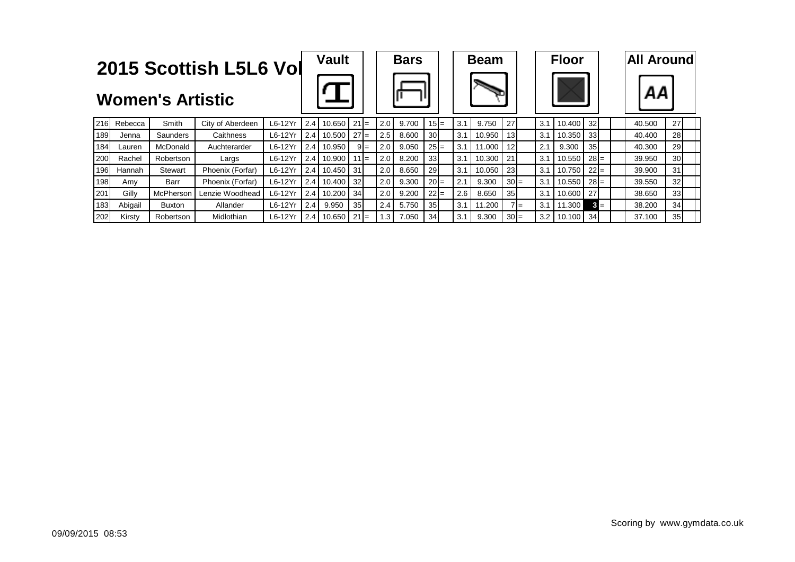|     |         |                         | 2015 Scottish L5L6 Vol |           |     | <b>Vault</b> |                 |       |           | <b>Bars</b> |                 |     | <b>Beam</b> |                 |     | <b>Floor</b> |        |       | <b>All Aroundl</b> |                 |  |
|-----|---------|-------------------------|------------------------|-----------|-----|--------------|-----------------|-------|-----------|-------------|-----------------|-----|-------------|-----------------|-----|--------------|--------|-------|--------------------|-----------------|--|
|     |         | <b>Women's Artistic</b> |                        |           |     |              |                 |       |           |             |                 |     |             |                 |     |              |        |       | ΑА                 |                 |  |
| 216 | Rebecca | Smith                   | City of Aberdeen       | L6-12Yr   | 2.4 | 10.650       | $21 =$          |       | 2.0       | 9.700       | $15 =$          | 3.1 | 9.750       | 27              | 3.1 | 10.400       | 32     |       | 40.500             | 27              |  |
| 189 | Jenna   | Saunders                | Caithness              | $L6-12Yr$ | 2.4 | 10.500       | $27 =$          |       | 2.5       | 8.600       | 30 <sup>l</sup> | 3.1 | 10.950      | 13 <sup>1</sup> | 3.1 | 10.350       | 33     |       | 40.400             | 28              |  |
| 184 | Lauren  | McDonald                | Auchterarder           | L6-12Yr   | 2.4 | 10.950       |                 | $9 =$ | 2.0       | 9.050       | $25 =$          | 3.1 | 11.000      | 12 <sup>1</sup> | 2.1 | 9.300        | 35     |       | 40.300             | 29              |  |
| 200 | Rachel  | Robertson               | Largs                  | $L6-12Yr$ |     | 2.4 10.900   | $111 =$         |       | 2.0       | 8.200       | 33 <sub>l</sub> | 3.1 | 10.300      | 21              | 3.1 | 10.550       | $28 =$ |       | 39.950             | 30 <sup>1</sup> |  |
| 196 | Hannah  | Stewart                 | Phoenix (Forfar)       | L6-12Yr   |     | 2.4 10.450   | -31             |       | 2.0       | 8.650       | <b>29</b>       | 3.1 | 10.050      | <b>23</b>       | 3.1 | 10.750       | $22 =$ |       | 39.900             | 31              |  |
| 198 | Amv     | Barr                    | Phoenix (Forfar)       | $L6-12Yr$ |     | 2.4 10.400   | 32 <sub>l</sub> |       | 2.0       | 9.300       | $20 =$          | 2.1 | 9.300       | $30 =$          | 3.1 | 10.550       | $28 =$ |       | 39.550             | 32              |  |
| 201 | Gilly   | McPherson               | Lenzie Woodhead        | L6-12Yr   | 2.4 | 10.200       | 34              |       | 2.0       | 9.200       | $22 =$          | 2.6 | 8.650       | 35 <sub>l</sub> | 3.1 | 10.600       | 27     |       | 38.650             | 33              |  |
| 183 | Abigail | <b>Buxton</b>           | Allander               | $L6-12Yr$ | 2.4 | 9.950        | 35 <sub>l</sub> |       | 2.4       | 5.750       | 35 <sub>l</sub> | 3.1 | 11.200      | $7 =$           | 3.1 | 11.300       |        | $3 =$ | 38.200             | 34              |  |
| 202 | Kirsty  | Robertson               | Midlothian             | L6-12Yr   | 2.4 | 10.650       | $21 =$          |       | $\cdot$ 3 | 7.050       | 34              | 3.1 | 9.300       | $30 =$          | 3.2 | 10.100       | 34     |       | 37.100             | 35 <sub>l</sub> |  |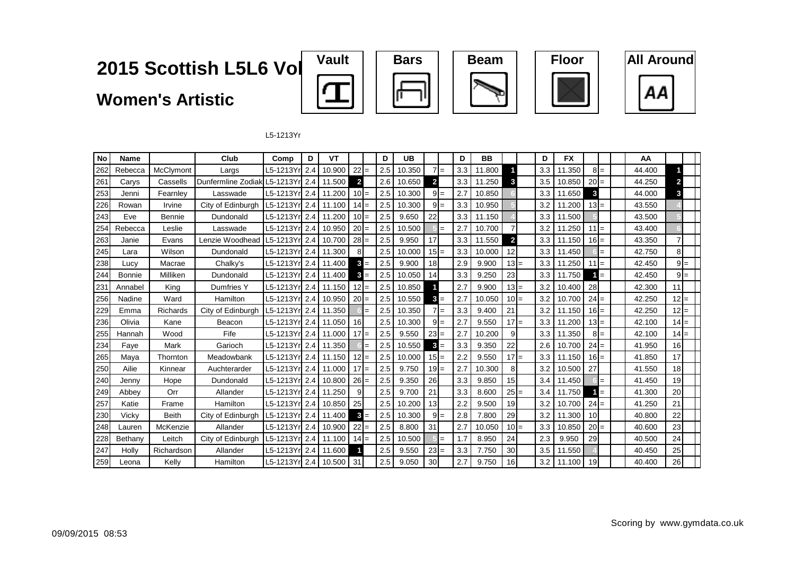**Women's Artistic**











L5-1213Yr

| No  | Name          |              | Club               | Comp                   | D   | VT     |                |     | D   | <b>UB</b> |                 |       | D   | <b>BB</b> |                         | D   | <b>FX</b> |        |       | AA     |              |  |
|-----|---------------|--------------|--------------------|------------------------|-----|--------|----------------|-----|-----|-----------|-----------------|-------|-----|-----------|-------------------------|-----|-----------|--------|-------|--------|--------------|--|
| 262 | Rebecca       | McClymont    | Largs              | L5-1213Yr 2.4          |     | 10.900 | $22 =$         |     | 2.5 | 10.350    |                 | $7 =$ | 3.3 | 11.800    |                         | 3.3 | 11.350    |        | $8 =$ | 44.400 |              |  |
| 261 | Carys         | Cassells     | Dunfermline Zodiak | L5-1213Yrl 2.4         |     | 11.500 | $\overline{2}$ |     | 2.6 | 10.650    | $\overline{2}$  |       | 3.3 | 11.250    | 3                       | 3.5 | 10.850    | $20 =$ |       | 44.250 | $\mathbf{2}$ |  |
| 253 | Jenni         | Fearnley     | Lasswade           | L5-1213Yr 2.4          |     | 11.200 | $10 =$         |     | 2.5 | 10.300    |                 | $9 =$ | 2.7 | 10.850    |                         | 3.3 | 11.650    | 3      |       | 44.000 | 3            |  |
| 226 | Rowan         | Irvine       | City of Edinburgh  | L5-1213Yrl 2.4         |     | 11.100 | $14 =$         |     | 2.5 | 10.300    |                 | $9 =$ | 3.3 | 10.950    |                         | 3.2 | 11.200    | $13 =$ |       | 43.550 |              |  |
| 243 | Eve           | Bennie       | Dundonald          | L5-1213Yrl 2.4         |     | 11.200 | $10 =$         |     | 2.5 | 9.650     | 22              |       | 3.3 | 11.150    |                         | 3.3 | 11.500    |        |       | 43.500 |              |  |
| 254 | Rebecca       | Leslie       | Lasswade           | L5-1213Yr 2.4          |     | 10.950 | $20 =$         |     | 2.5 | 10.500    |                 | $=$   | 2.7 | 10.700    |                         | 3.2 | 11.250    | $11 =$ |       | 43.400 |              |  |
| 263 | Janie         | Evans        | Lenzie Woodhead    | L5-1213Yr 2.4          |     | 10.700 | $28 =$         |     | 2.5 | 9.950     | 17              |       | 3.3 | 11.550    | $\overline{\mathbf{2}}$ | 3.3 | 11.150    | $16 =$ |       | 43.350 | 7            |  |
| 245 | Lara          | Wilson       | Dundonald          | L5-1213Yrl 2.4         |     | 11.300 | 8              |     | 2.5 | 10.000    | $15 =$          |       | 3.3 | 10.000    | 12                      | 3.3 | 11.450    |        | $=$   | 42.750 | 8            |  |
| 238 | Lucy          | Macrae       | Chalky's           | L5-1213Yr 2.4          |     | 11.400 | 3              | $=$ | 2.5 | 9.900     | 18              |       | 2.9 | 9.900     | $13 =$                  | 3.3 | 11.250    | $11 =$ |       | 42.450 | $9 =$        |  |
| 244 | <b>Bonnie</b> | Milliken     | Dundonald          | L5-1213Yr <b>l</b> 2.4 |     | 11.400 | 3              |     | 2.5 | 10.050    | 14              |       | 3.3 | 9.250     | 23                      | 3.3 | 11.750    |        | $=$   | 42.450 | $9 =$        |  |
| 231 | Annabel       | King         | Dumfries Y         | L5-1213Yr 2.4          |     | 11.150 | $12 =$         |     | 2.5 | 10.850    |                 |       | 2.7 | 9.900     | $13 =$                  | 3.2 | 10.400    | 28     |       | 42.300 | 11           |  |
| 256 | Nadine        | Ward         | Hamilton           | L5-1213Yr              | 2.4 | 10.950 | $20 =$         |     | 2.5 | 10.550    | 3 <sub>l</sub>  | $=$   | 2.7 | 10.050    | $10 =$                  | 3.2 | 10.700    | $24 =$ |       | 42.250 | $12 =$       |  |
| 229 | Emma          | Richards     | City of Edinburgh  | L5-1213Yr 2.4          |     | 11.350 |                | $=$ | 2.5 | 10.350    |                 | $7 =$ | 3.3 | 9.400     | 21                      | 3.2 | 11.150    | $16 =$ |       | 42.250 | $12I =$      |  |
| 236 | Olivia        | Kane         | Beacon             | L5-1213Yr <b>l</b> 2.4 |     | 11.050 | 16             |     | 2.5 | 10.300    | 91              | $=$   | 2.7 | 9.550     | $17 =$                  | 3.3 | 11.200    | $13 =$ |       | 42.100 | $14 =$       |  |
| 255 | Hannah        | Wood         | Fife               | L5-1213Yr 2.4          |     | 11.000 | $17 =$         |     | 2.5 | 9.550     | $23 =$          |       | 2.7 | 10.200    | 9                       | 3.3 | 11.350    |        | $8 =$ | 42.100 | $14 =$       |  |
| 234 | Faye          | Mark         | Garioch            | L5-1213Yrl 2.4         |     | 11.350 |                |     | 2.5 | 10.550    | 3 <sub>l</sub>  | $=$   | 3.3 | 9.350     | 22                      | 2.6 | 10.700    | $24 =$ |       | 41.950 | 16           |  |
| 265 | Maya          | Thornton     | Meadowbank         | L5-1213Yr 2.4          |     | 11.150 | $12 =$         |     | 2.5 | 10.000    | $15 =$          |       | 2.2 | 9.550     | $17 =$                  | 3.3 | 11.150    | $16 =$ |       | 41.850 | 17           |  |
| 250 | Ailie         | Kinnear      | Auchterarder       | L5-1213Yrl 2.4         |     | 11.000 | $17 =$         |     | 2.5 | 9.750     | $19 =$          |       | 2.7 | 10.300    | 8                       | 3.2 | 10.500    | 27     |       | 41.550 | 18           |  |
| 240 | Jenny         | Hope         | Dundonald          | L5-1213Yr 2.4          |     | 10.800 | $26 =$         |     | 2.5 | 9.350     | 26              |       | 3.3 | 9.850     | 15                      | 3.4 | 11.450    |        | $=$   | 41.450 | 19           |  |
| 249 | Abbev         | Orr          | Allander           | L5-1213Yrl 2.4         |     | 11.250 | 9              |     | 2.5 | 9.700     | 21              |       | 3.3 | 8.600     | $25 =$                  | 3.4 | 11.750    |        | $=$   | 41.300 | 20           |  |
| 257 | Katie         | Frame        | Hamilton           | L5-1213Yr 2.4          |     | 10.850 | 25             |     | 2.5 | 10.200    | 13 <sup>l</sup> |       | 2.2 | 9.500     | 19                      | 3.2 | 10.700    | $24 =$ |       | 41.250 | 21           |  |
| 230 | Vicky         | <b>Beith</b> | City of Edinburgh  | L5-1213Yr 2.4          |     | 11.400 | 3              |     | 2.5 | 10.300    | 9!              | $=$   | 2.8 | 7.800     | 29                      | 3.2 | 11.300    | 10     |       | 40.800 | 22           |  |
| 248 | Lauren        | McKenzie     | Allander           | L5-1213Yr 2.4          |     | 10.900 | $22 =$         |     | 2.5 | 8.800     | 31              |       | 2.7 | 10.050    | $10 =$                  | 3.3 | 10.850    | $20 =$ |       | 40.600 | 23           |  |
| 228 | Bethany       | Leitch       | City of Edinburgh  | L5-1213Yr 2.4          |     | 11.100 | $14 =$         |     | 2.5 | 10.500    |                 |       | 1.7 | 8.950     | 24                      | 2.3 | 9.950     | 29     |       | 40.500 | 24           |  |
| 247 | Holly         | Richardson   | Allander           | L5-1213Yr 2.4          |     | 11.600 |                |     | 2.5 | 9.550     | $23 =$          |       | 3.3 | 7.750     | 30                      | 3.5 | 11.550    |        |       | 40.450 | 25           |  |
| 259 | Leona         | Kelly        | Hamilton           | L5-1213Yr 2.4          |     | 10.500 | 31             |     | 2.5 | 9.050     | 30              |       | 2.7 | 9.750     | 16                      | 3.2 | 11.100    | 19     |       | 40.400 | 26           |  |

П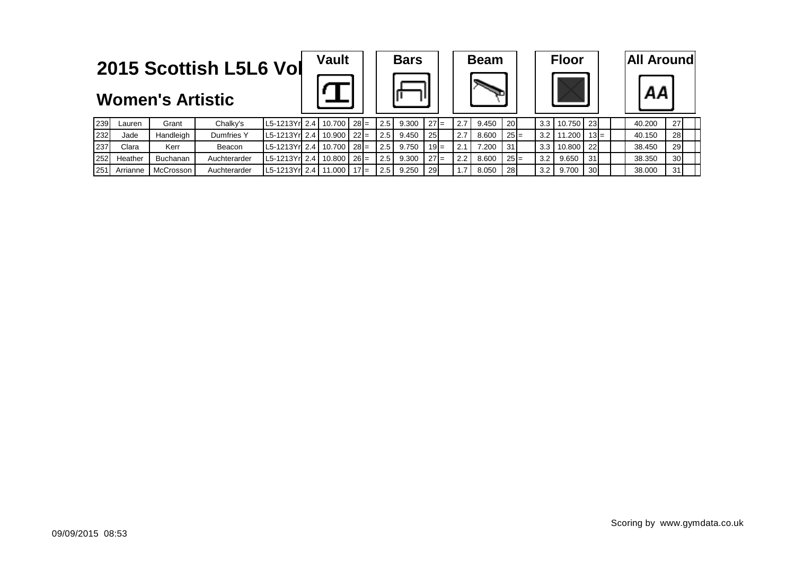







| <b>Women's Artistic</b> |  |
|-------------------------|--|
|-------------------------|--|

| 239 | ∟aurer   | Grant     | Chalky's          | $ L5-1213Yr $ 2.4   10.700   28 =          |        |        |                      | $2.5$ 9.300 | $27 =$    | -2.7 | 9.450 | <b>20</b> |     | $3.3$   10.750   23 |                 | 40.200 | 27 <sup>1</sup> |
|-----|----------|-----------|-------------------|--------------------------------------------|--------|--------|----------------------|-------------|-----------|------|-------|-----------|-----|---------------------|-----------------|--------|-----------------|
| 232 | Jade     | Handleigh | <b>Dumfries Y</b> | $\lfloor$ L5-1213Yr  2.4   10.900   22   = |        |        | 2.5                  | 9.450       | -251      |      | 8.600 | $25 =$    |     | $3.2$   11.200      | $13 =$          | 40.150 | <b>28</b>       |
| 237 | Clara    | Kerr      | Beacon            | $ L5-1213Yr $ 2.4   10.700   28 =          |        |        | 2.5                  | 9.750       | $19 =$    | ົ    | 7.200 | 31        | 3.3 | 10.800              | - 221           | 38.450 | 29              |
| 252 | Heather  | Buchanan  | Auchterarder      | $ $ L5-1213Yr  2.4   10.800   26 =         |        |        | 2.5                  | 9.300       | $27 =$    | 2.2  | 8.600 | $25 =$    | 3.2 | 9.650               | 31              | 38.350 | 30 <sup>l</sup> |
| 251 | Arrianne | McCrosson | Auchterarder      | L5-1213Yrl 2.4                             | 11.000 | $17 =$ | $2.5$ $\blacksquare$ | 9.250       | <b>29</b> |      | 8.050 | 28        | 3.2 | 9.700               | 30 <sup>1</sup> | 38.000 | 31              |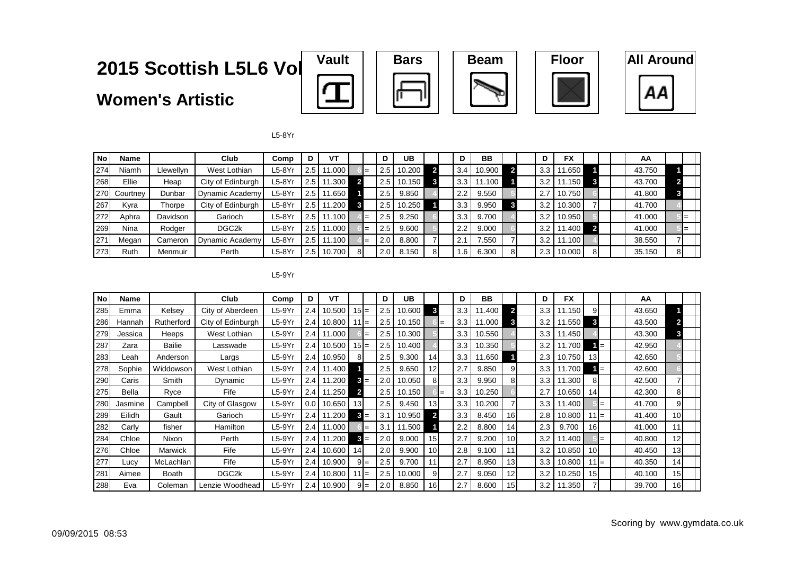**Women's Artistic**











L5-8Yr

| <b>No</b> | Name        |           | Club               | Comp     |         | VT     |    |                  | UB     |    |              | <b>BB</b> |    |     | <b>FX</b> |    |  | AA     |    |  |
|-----------|-------------|-----------|--------------------|----------|---------|--------|----|------------------|--------|----|--------------|-----------|----|-----|-----------|----|--|--------|----|--|
| 274       | Niamh       | Llewellyn | West Lothian       | $L5-8Yr$ | 2.5     | 11.000 |    | 2.5 <sub>1</sub> | 10.200 |    | 3.4          | 10.900    |    | 3.3 | 1.650     |    |  | 43.750 |    |  |
| 268       | Ellie       | Heap      | City of Edinburgh  | ∟5-8Yr   | 2.5     | 11.300 |    | 2.5 <sub>1</sub> | 10.150 | 3  | 3.3          | 1.100     |    | 3.2 | 11.150    |    |  | 43.700 |    |  |
| 270       | Courtney    | Dunbar    | Dynamic Academy    | ∟5-8Yr   | 2.5     | 11.650 |    | 2.5              | 9.850  |    | 2.2          | 9.550     |    | 2.7 | 10.750    |    |  | 41.800 | 3  |  |
| 267       | Kyra        | Thorpe    | City of Edinburgh  | L5-8Yr   | 2.5     | 11.200 |    | 2.5 <sub>1</sub> | 10.250 |    | 3.3          | 9.950     |    | 3.2 | 10.300    |    |  | 41.700 |    |  |
| 272       | Aphra       | Davidson  | Garioch            | $L5-8Yr$ | 2.5     | 11.100 |    | 2.5              | 9.250  |    | 3.3          | 9.700     |    | 3.2 | 10.950    |    |  | 41.000 | ⊩= |  |
| 269       | <b>Nina</b> | Rodger    | DGC <sub>2</sub> k | $L5-8Yr$ | 2.5     | 11.000 |    | 2.5              | 9.600  |    | 2.2          | 9.000     |    | 3.2 | 1.400     |    |  | 41.000 | ⊩= |  |
| 271       | Megan       | Cameron   | Dynamic Academy    | ∟5-8Yr   | l 2.5 l | 11.100 |    | 2.0              | 8.800  |    | 2.7          | 7.550     |    | 3.2 | ' 1.100 L |    |  | 38.550 |    |  |
| 273       | Ruth        | Menmuir   | Perth              | L5-8Yr   | 2.5     | 10.700 | 81 | 2.0              | 8.150  | 81 | $.6^{\circ}$ | 6.300     | 81 | 2.3 | 10.000    | 81 |  | 35.150 | 81 |  |

L5-9Yr

| <b>No</b> | Name    |            | Club               | Comp     | D   | VT     |              |       | D               | UB     |                 | D   | BB     |                 | D                | <b>FX</b> |                 |       | AA     |                 |  |
|-----------|---------|------------|--------------------|----------|-----|--------|--------------|-------|-----------------|--------|-----------------|-----|--------|-----------------|------------------|-----------|-----------------|-------|--------|-----------------|--|
| 285       | Emma    | Kelsey     | City of Aberdeen   | $L5-9Yr$ | 2.4 | 10.500 | $15 =$       |       | 2.5             | 10.600 |                 | 3.3 | 11.400 | $\mathbf{c}$    | 3.3              | 11.150    | 9               |       | 43.650 |                 |  |
| 286       | Hannah  | Rutherford | City of Edinburgh  | $L5-9Yr$ | 2.4 | 10.800 | $111 =$      |       | 2.5             | 10.150 |                 | 3.3 | 11.000 | 3               | 3.2              | 11.550    | 3               |       | 43.500 |                 |  |
| 279       | Jessica | Heeps      | West Lothian       | $L5-9Yr$ | 2.4 | 11.000 |              | $=$   | 2.5             | 10.300 |                 | 3.3 | 10.550 |                 | 3.3 <sub>2</sub> | 11.450    |                 |       | 43.300 | 3               |  |
| 287       | Zara    | Bailie     | Lasswade           | $L5-9Yr$ | 2.4 | 10.500 | $15 =$       |       | 2.5             | 10.400 |                 | 3.3 | 10.350 |                 | 3.2              | 11.700    |                 | $= -$ | 42.950 |                 |  |
| 283       | Leah    | Anderson   | Largs              | $L5-9Yr$ | 2.4 | 10.950 | 8            |       | 2.5             | 9.300  | 14              | 3.3 | 11.650 |                 | 2.3              | 10.750    | 13              |       | 42.650 |                 |  |
| 278       | Sophie  | Widdowson  | West Lothian       | $L5-9Yr$ | 2.4 | 11.400 |              |       | 2.5             | 9.650  | 12              | 2.7 | 9.850  | 9               | 3.3 <sub>2</sub> | 11.700    |                 | 1 =   | 42.600 |                 |  |
| 290       | Caris   | Smith      | Dynamic            | $L5-9Yr$ | 2.4 | 11.200 |              | $3 =$ | 2 <sub>c</sub>  | 10.050 | 81              | 3.3 | 9.950  | 8               | 3.3              | 11.300    |                 |       | 42.500 |                 |  |
| 275       | Bella   | Ryce       | Fife               | $L5-9Yr$ | 2.4 | 11.250 | $\mathbf{2}$ |       | 2.5             | 10.150 |                 | 3.3 | 10.250 |                 | 2.7              | 10.650    | 14              |       | 42.300 | 81              |  |
| 280       | Jasmine | Campbell   | City of Glasgow    | L5-9Yr   | 0.0 | 10.650 | 13           |       | 2.5             | 9.450  | 13 <sup>l</sup> | 3.3 | 10.200 |                 | 3.3              | 11.400    |                 | $=$   | 41.700 | 91              |  |
| 289       | Eilidh  | Gault      | Garioch            | $L5-9Yr$ | 2.4 | 11.200 |              | $3 =$ | 3.1             | 10.950 |                 | 3.3 | 8.450  | 16 <sup>1</sup> | 2.8              | 10.800    | 11 I =          |       | 41.400 | 10 <sup>1</sup> |  |
| 282       | Carlv   | fisher     | Hamilton           | $L5-9Yr$ | 2.4 | 11.000 |              | $=$   | 3.              | 11.500 |                 | 2.2 | 8.800  | 141             | 2.3              | 9.700     | 16              |       | 41.000 | 11              |  |
| 284       | Chloe   | Nixon      | Perth              | $L5-9Yr$ | 2.4 | 11.200 |              | $3 =$ | 2 <sub>c</sub>  | 9.000  | 15 <sup>1</sup> | 2.7 | 9.200  | 10 <sup>1</sup> | 3.2              | 11.400    |                 | $=$   | 40.800 | 12              |  |
| 276       | Chloe   | Marwick    | Fife               | $L5-9Yr$ | 2.4 | 10.600 | 14           |       | 2. <sub>C</sub> | 9.900  | 10 <sup>1</sup> | 2.8 | 9.100  |                 | 3.2              | 10.850    | 10 <sup>1</sup> |       | 40.450 | 13              |  |
| 277       | Lucv    | McLachlan  | Fife               | $L5-9Yr$ | 2.4 | 10.900 |              | $9 =$ | 2.5             | 9.700  | 11              | 2.7 | 8.950  | 13              | 3.3 <sub>2</sub> | 10.800    | $111 =$         |       | 40.350 | 14              |  |
| 281       | Aimee   | Boath      | DGC <sub>2</sub> k | $L5-9Yr$ | 2.4 | 10.800 | $111 =$      |       | 2.5             | 10.000 | 91              | 2.7 | 9.050  | 12              | 3.2              | 10.250    | 15              |       | 40.100 | 15 <sup>1</sup> |  |
| 288       | Eva     | Coleman    | Lenzie Woodhead    | $L5-9Yr$ | 2.4 | 10.900 |              | $9 =$ | 2. <sub>C</sub> | 8.850  | 16              | 2.7 | 8.600  | 15 <sub>l</sub> | 3.2              | 11.350    |                 |       | 39.700 | 16              |  |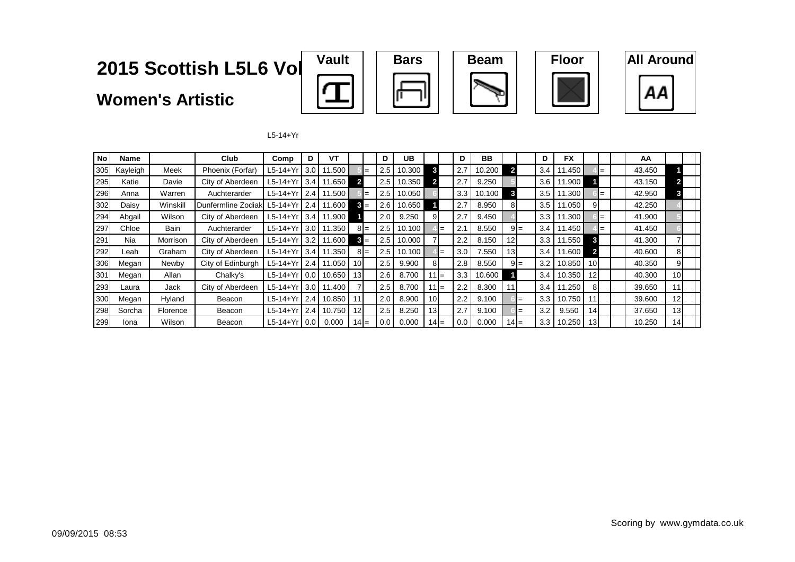**Women's Artistic**











L5-14+Yr

| No  | Name     |          | Club                | Comp         | D     | VТ     |                 |        | D   | UB     |         |        | D   | BB     |                 |       | D   | <b>FX</b> |                 |  | AA     |                         |  |
|-----|----------|----------|---------------------|--------------|-------|--------|-----------------|--------|-----|--------|---------|--------|-----|--------|-----------------|-------|-----|-----------|-----------------|--|--------|-------------------------|--|
| 305 | Kayleigh | Meek     | Phoenix (Forfar)    | L5-14+Yr     | 3.0   | 11.500 |                 |        | 2.5 | 10.300 | 3       |        | 2.7 | 10.200 |                 |       | 3.4 | 11.450    |                 |  | 43.450 |                         |  |
| 295 | Katie    | Davie    | City of Aberdeen    | L5-14+Yr     | 3.4   | 11.650 |                 |        | 2.5 | 10.350 | 2       |        | 2.7 | 9.250  |                 |       | 3.6 | 11.900    |                 |  | 43.150 | $\overline{\mathbf{c}}$ |  |
| 296 | Anna     | Warren   | Auchterarder        | $L5-14+Yr$   | 2.4   | 11.500 |                 |        | 2.5 | 10.050 |         |        | 3.3 | 10.100 |                 |       | 3.5 | 11.300    |                 |  | 42.950 | 3                       |  |
| 302 | Daisv    | Winskill | Dunfermline Zodiakl | $L5-14+Yr$   | 2.4   | 11.600 |                 | $3 =$  | 2.6 | 10.650 |         |        | 2.7 | 8.950  |                 |       | 3.5 | 11.050    | 91              |  | 42.250 |                         |  |
| 294 | Abgail   | Wilson   | City of Aberdeen    | L5-14+Yr 3.4 |       | 11.900 |                 |        | 2.0 | 9.250  | 9       |        | 2.7 | 9.450  |                 |       | 3.3 | 11.300    |                 |  | 41.900 |                         |  |
| 297 | Chloe    | Bain     | Auchterarder        | $L5-14+Yr$   | l 3.0 | 11.350 |                 | $8I =$ | 2.5 | 10.100 |         | $=$    | 2.1 | 8.550  |                 | $9 =$ | 3.4 | 11.450    |                 |  | 41.450 |                         |  |
| 291 | Nia      | Morrison | City of Aberdeen    | $L5-14+Yr$   | 13.2  | 11.600 |                 | $3 =$  | 2.5 | 10.000 |         |        | 2.2 | 8.150  | 12              |       | 3.3 | 11.550    | 3               |  | 41.300 |                         |  |
| 292 | Leah     | Graham   | City of Aberdeen    | $L5-14+Yr$   | 3.4   | 11.350 |                 | $8I =$ | 2.5 | 10.100 |         | $=$    | 3.0 | 7.550  | 13 <sup>1</sup> |       | 3.4 | 11.600    |                 |  | 40.600 | 81                      |  |
| 306 | Megan    | Newby    | City of Edinburgh   | L5-14+Yr     | 2.4   | 11.050 | 10 <sup>1</sup> |        | 2.5 | 9.900  | 8       |        | 2.8 | 8.550  |                 | $9 =$ | 3.2 | 10.850    | 10 <sup>1</sup> |  | 40.350 | 9                       |  |
| 301 | Megan    | Allan    | Chalky's            | $L5-14+Yr$   | 0.0   | 10.650 | 13              |        | 2.6 | 8.700  | $111 =$ |        | 3.3 | 10.600 |                 |       | 3.4 | 10.350    | 12 <sup>1</sup> |  | 40.300 | 10 <sup>1</sup>         |  |
| 293 | Laura    | Jack     | City of Aberdeen    | $L5-14+Yr$   | 3.0   | 11.400 |                 |        | 2.5 | 8.700  | $111 =$ |        | 2.2 | 8.300  |                 |       | 3.4 | 11.250    | 8               |  | 39.650 | 11                      |  |
| 300 | Megan    | Hyland   | Beacon              | $L5-14+Yr$   | 2.4   | 10.850 | -11             |        | 2.0 | 8.900  | 10      |        | 2.2 | 9.100  |                 | $=$   | 3.3 | 10.750    |                 |  | 39.600 | 12                      |  |
| 298 | Sorcha   | Florence | Beacon              | $L5-14+Yr$   | 2.4   | 10.750 | 12              |        | 2.5 | 8.250  | ا31     |        | 2.7 | 9.100  |                 | $=$   | 3.2 | 9.550     | 141             |  | 37.650 | 13                      |  |
| 299 | Iona     | Wilson   | Beacon              | $L5-14+Yr$   | l 0.0 | 0.000  | $14 =$          |        | 0.0 | 0.000  |         | 14 I = | 0.0 | 0.000  | $141 =$         |       | 3.3 | 10.250    | 13 <sup>l</sup> |  | 10.250 | 14                      |  |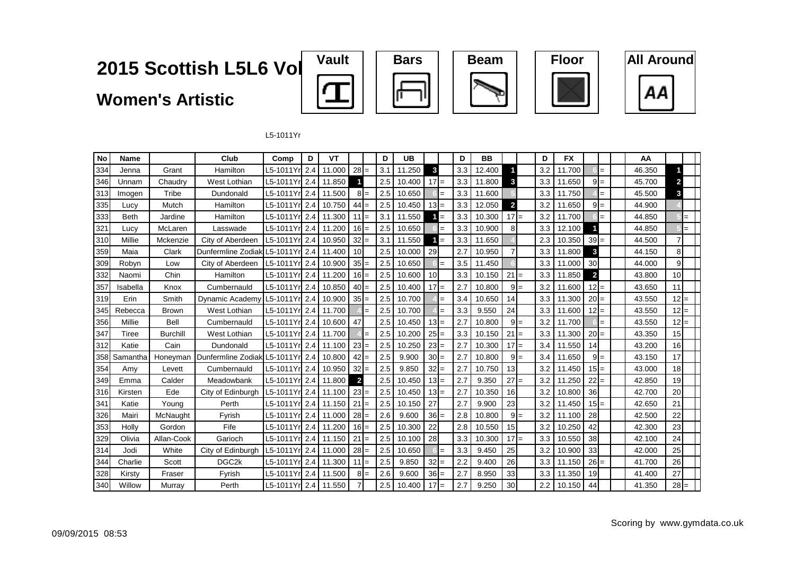**Women's Artistic**











L5-1011Yr

| No  | <b>Name</b> |                 | Club               | Comp           | D | VT     |                 |     | D   | <b>UB</b> |                 |     | D   | <b>BB</b> |                         |       | D   | <b>FX</b> |                 |       | AA     |                 |  |
|-----|-------------|-----------------|--------------------|----------------|---|--------|-----------------|-----|-----|-----------|-----------------|-----|-----|-----------|-------------------------|-------|-----|-----------|-----------------|-------|--------|-----------------|--|
| 334 | Jenna       | Grant           | Hamilton           | L5-1011Yr 2.4  |   | 11.000 | $28 =$          |     | 3.1 | 11.250    | 3               |     | 3.3 | 12.400    |                         |       | 3.2 | 11.700    |                 | $=$   | 46.350 |                 |  |
| 346 | Unnam       | Chaudry         | West Lothian       | L5-1011Yr 2.4  |   | 11.850 |                 |     | 2.5 | 10.400    | $17 =$          |     | 3.3 | 11.800    | 3                       |       | 3.3 | 11.650    |                 | $9 =$ | 45.700 | 2               |  |
| 313 | Imogen      | Tribe           | Dundonald          | L5-1011Yr 2.4  |   | 11.500 | $8 =$           |     | 2.5 | 10.650    |                 |     | 3.3 | 11.600    |                         |       | 3.3 | 11.750    |                 | $=$   | 45.500 | 3               |  |
| 335 | Lucy        | Mutch           | Hamilton           | L5-1011Yrl 2.4 |   | 10.750 | $44 =$          |     | 2.5 | 10.450    | $13 =$          |     | 3.3 | 12.050    | $\overline{\mathbf{c}}$ |       | 3.2 | 11.650    | $9 =$           |       | 44.900 |                 |  |
| 333 | <b>Beth</b> | Jardine         | Hamilton           | L5-1011Yr 2.4  |   | 11.300 | $11 =$          |     | 3.1 | 11.550    |                 | $=$ | 3.3 | 10.300    | $17 =$                  |       | 3.2 | 11.700    |                 | $=$   | 44.850 |                 |  |
| 321 | Lucy        | McLaren         | Lasswade           | L5-1011Yr 2.4  |   | 11.200 | $16 =$          |     | 2.5 | 10.650    |                 |     | 3.3 | 10.900    | 8                       |       | 3.3 | 12.100    |                 |       | 44.850 | $=$             |  |
| 310 | Millie      | Mckenzie        | City of Aberdeen   | L5-1011Yr 2.4  |   | 10.950 | $32 =$          |     | 3.1 | 11.550    |                 | $=$ | 3.3 | 11.650    |                         |       | 2.3 | 10.350    | $39 =$          |       | 44.500 |                 |  |
| 359 | Maia        | Clark           | Dunfermline Zodiak | L5-1011Yrl 2.4 |   | 11.400 | 10 <sup>1</sup> |     | 2.5 | 10.000    | 29              |     | 2.7 | 10.950    | $\overline{7}$          |       | 3.3 | 11.800    | 3               |       | 44.150 | 8               |  |
| 309 | Robyn       | Low             | City of Aberdeen   | L5-1011Yr 2.4  |   | 10.900 | $35 =$          |     | 2.5 | 10.650    |                 |     | 3.5 | 11.450    |                         |       | 3.3 | 11.000    | 30 <sup>1</sup> |       | 44.000 | $\overline{9}$  |  |
| 332 | Naomi       | Chin            | Hamilton           | L5-1011Yr 2.4  |   | 11.200 | $16 =$          |     | 2.5 | 10.600    | 10 <sup>1</sup> |     | 3.3 | 10.150    | $21 =$                  |       | 3.3 | 11.850    | $\overline{2}$  |       | 43.800 | 10 <sup>1</sup> |  |
| 357 | Isabella    | Knox            | Cumbernauld        | L5-1011Yrl 2.4 |   | 10.850 | $40 =$          |     | 2.5 | 10.400    | $17 =$          |     | 2.7 | 10.800    |                         | $9 =$ | 3.2 | 11.600    | $12 =$          |       | 43.650 | 11              |  |
| 319 | Erin        | Smith           | Dynamic Academy    | L5-1011Yr 2.4  |   | 10.900 | $35 =$          |     | 2.5 | 10.700    |                 |     | 3.4 | 10.650    | 14                      |       | 3.3 | 11.300    | $20 =$          |       | 43.550 | $12 =$          |  |
| 345 | Rebecca     | <b>Brown</b>    | West Lothian       | L5-1011Yr 2.4  |   | 11.700 |                 |     | 2.5 | 10.700    |                 |     | 3.3 | 9.550     | 24                      |       | 3.3 | 11.600    | $12 =$          |       | 43.550 | $12 =$          |  |
| 356 | Millie      | Bell            | Cumbernauld        | L5-1011Yr 2.4  |   | 10.600 | 47              |     | 2.5 | 10.450    | $13 =$          |     | 2.7 | 10.800    |                         | $9 =$ | 3.2 | 11.700    |                 | $=$   | 43.550 | $12 =$          |  |
| 347 | Tiree       | <b>Burchill</b> | West Lothian       | L5-1011Yr 2.4  |   | 11.700 |                 |     | 2.5 | 10.200    | 25              | $=$ | 3.3 | 10.150    | $21 =$                  |       | 3.3 | 11.300    | $20 =$          |       | 43.350 | 15              |  |
| 312 | Katie       | Cain            | Dundonald          | L5-1011Yr 2.4  |   | 11.100 | $23 =$          |     | 2.5 | 10.250    | $23 =$          |     | 2.7 | 10.300    | $17 =$                  |       | 3.4 | 11.550    | 14              |       | 43.200 | 16              |  |
| 358 | Samantha    | Honeyman        | Dunfermline Zodiak | L5-1011Yrl 2.4 |   | 10.800 | $42 =$          |     | 2.5 | 9.900     | $30 =$          |     | 2.7 | 10.800    |                         | $9 =$ | 3.4 | 11.650    |                 | $9 =$ | 43.150 | 17              |  |
| 354 | Amy         | Levett          | Cumbernauld        | L5-1011Yrl 2.4 |   | 10.950 | $32 =$          |     | 2.5 | 9.850     | 32              |     | 2.7 | 10.750    | 13                      |       | 3.2 | 11.450    | $15 =$          |       | 43.000 | 18              |  |
| 349 | Emma        | Calder          | Meadowbank         | L5-1011Yr 2.4  |   | 11.800 | $\overline{2}$  |     | 2.5 | 10.450    | $13 =$          |     | 2.7 | 9.350     | 27                      | $=$   | 3.2 | 11.250    | $22 =$          |       | 42.850 | 19              |  |
| 316 | Kirsten     | Ede             | City of Edinburgh  | L5-1011Yr 2.4  |   | 11.100 | $23 =$          |     | 2.5 | 10.450    | $13 =$          |     | 2.7 | 10.350    | 16                      |       | 3.2 | 10.800    | 36              |       | 42.700 | 20              |  |
| 341 | Katie       | Young           | Perth              | L5-1011Yr 2.4  |   | 11.150 | $21 =$          |     | 2.5 | 10.150    | 27              |     | 2.7 | 9.900     | 23                      |       | 3.2 | 11.450    | $15 =$          |       | 42.650 | 21              |  |
| 326 | Mairi       | McNaught        | Fyrish             | L5-1011Yrl 2.4 |   | 11.000 | $28 =$          |     | 2.6 | 9.600     | $36 =$          |     | 2.8 | 10.800    |                         | $9 =$ | 3.2 | 11.100    | 28              |       | 42.500 | 22              |  |
| 353 | Holly       | Gordon          | Fife               | L5-1011Yr 2.4  |   | 11.200 | $16 =$          |     | 2.5 | 10.300    | 22              |     | 2.8 | 10.550    | 15                      |       | 3.2 | 10.250    | 42              |       | 42.300 | 23              |  |
| 329 | Olivia      | Allan-Cook      | Garioch            | L5-1011Yr 2.4  |   | 11.150 | 21              | $=$ | 2.5 | 10.100    | 28              |     | 3.3 | 10.300    | $17 =$                  |       | 3.3 | 10.550    | 38              |       | 42.100 | 24              |  |
| 314 | Jodi        | White           | City of Edinburgh  | L5-1011Yr 2.4  |   | 11.000 | $28 =$          |     | 2.5 | 10.650    |                 |     | 3.3 | 9.450     | 25                      |       | 3.2 | 10.900    | 33              |       | 42.000 | 25              |  |
| 344 | Charlie     | Scott           | DGC <sub>2k</sub>  | L5-1011Yr 2.4  |   | 11.300 | $11 =$          |     | 2.5 | 9.850     | 32              | $=$ | 2.2 | 9.400     | 26                      |       | 3.3 | 11.150    | $26 =$          |       | 41.700 | 26              |  |
| 328 | Kirsty      | Fraser          | Fyrish             | L5-1011Yr 2.4  |   | 11.500 | $8 =$           |     | 2.6 | 9.600     | $36 =$          |     | 2.7 | 8.950     | 33                      |       | 3.3 | 11.350    | 19              |       | 41.400 | 27              |  |
| 340 | Willow      | Murray          | Perth              | L5-1011Yr 2.4  |   | 11.550 |                 |     | 2.5 | 10.400    | $17 =$          |     | 2.7 | 9.250     | 30                      |       | 2.2 | 10.150    | 44              |       | 41.350 | $28 =$          |  |

П